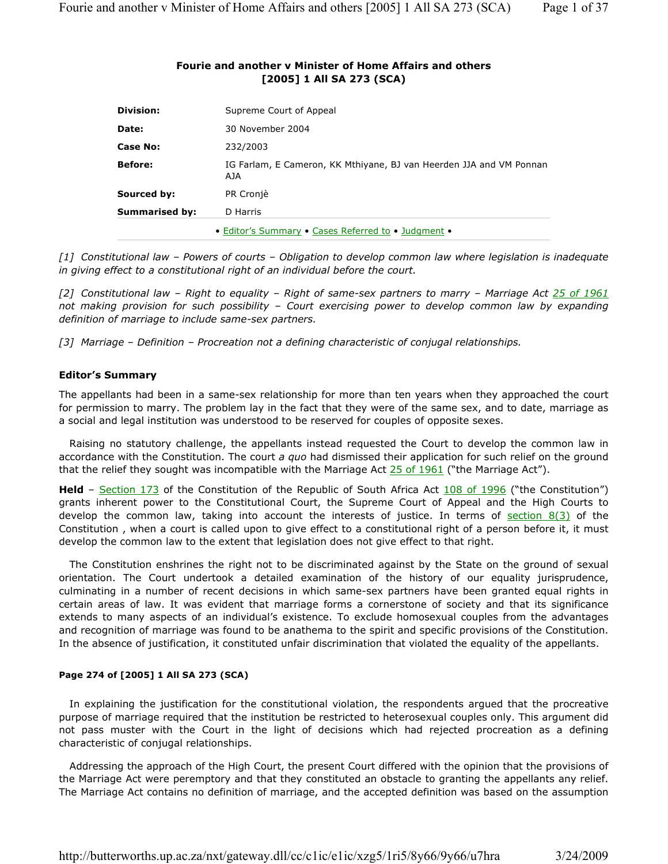# **Fourie and another v Minister of Home Affairs and others [2005] 1 All SA 273 (SCA)**

| <b>Division:</b>      | Supreme Court of Appeal                                                    |
|-----------------------|----------------------------------------------------------------------------|
| Date:                 | 30 November 2004                                                           |
| <b>Case No:</b>       | 232/2003                                                                   |
| <b>Before:</b>        | IG Farlam, E Cameron, KK Mthiyane, BJ van Heerden JJA and VM Ponnan<br>AJA |
| Sourced by:           | PR Cronjè                                                                  |
| <b>Summarised by:</b> | D Harris                                                                   |
|                       | • Editor's Summary . Cases Referred to . Judgment .                        |

*[1] Constitutional law – Powers of courts – Obligation to develop common law where legislation is inadequate in giving effect to a constitutional right of an individual before the court.* 

*[2] Constitutional law – Right to equality – Right of same-sex partners to marry – Marriage Act 25 of 1961 not making provision for such possibility – Court exercising power to develop common law by expanding definition of marriage to include same-sex partners.* 

*[3] Marriage – Definition – Procreation not a defining characteristic of conjugal relationships.* 

## **Editor's Summary**

The appellants had been in a same-sex relationship for more than ten years when they approached the court for permission to marry. The problem lay in the fact that they were of the same sex, and to date, marriage as a social and legal institution was understood to be reserved for couples of opposite sexes.

Raising no statutory challenge, the appellants instead requested the Court to develop the common law in accordance with the Constitution. The court *a quo* had dismissed their application for such relief on the ground that the relief they sought was incompatible with the Marriage Act  $25$  of  $1961$  ("the Marriage Act").

Held - Section 173 of the Constitution of the Republic of South Africa Act 108 of 1996 ("the Constitution") grants inherent power to the Constitutional Court, the Supreme Court of Appeal and the High Courts to develop the common law, taking into account the interests of justice. In terms of section  $8(3)$  of the Constitution , when a court is called upon to give effect to a constitutional right of a person before it, it must develop the common law to the extent that legislation does not give effect to that right.

The Constitution enshrines the right not to be discriminated against by the State on the ground of sexual orientation. The Court undertook a detailed examination of the history of our equality jurisprudence, culminating in a number of recent decisions in which same-sex partners have been granted equal rights in certain areas of law. It was evident that marriage forms a cornerstone of society and that its significance extends to many aspects of an individual's existence. To exclude homosexual couples from the advantages and recognition of marriage was found to be anathema to the spirit and specific provisions of the Constitution. In the absence of justification, it constituted unfair discrimination that violated the equality of the appellants.

### **Page 274 of [2005] 1 All SA 273 (SCA)**

In explaining the justification for the constitutional violation, the respondents argued that the procreative purpose of marriage required that the institution be restricted to heterosexual couples only. This argument did not pass muster with the Court in the light of decisions which had rejected procreation as a defining characteristic of conjugal relationships.

Addressing the approach of the High Court, the present Court differed with the opinion that the provisions of the Marriage Act were peremptory and that they constituted an obstacle to granting the appellants any relief. The Marriage Act contains no definition of marriage, and the accepted definition was based on the assumption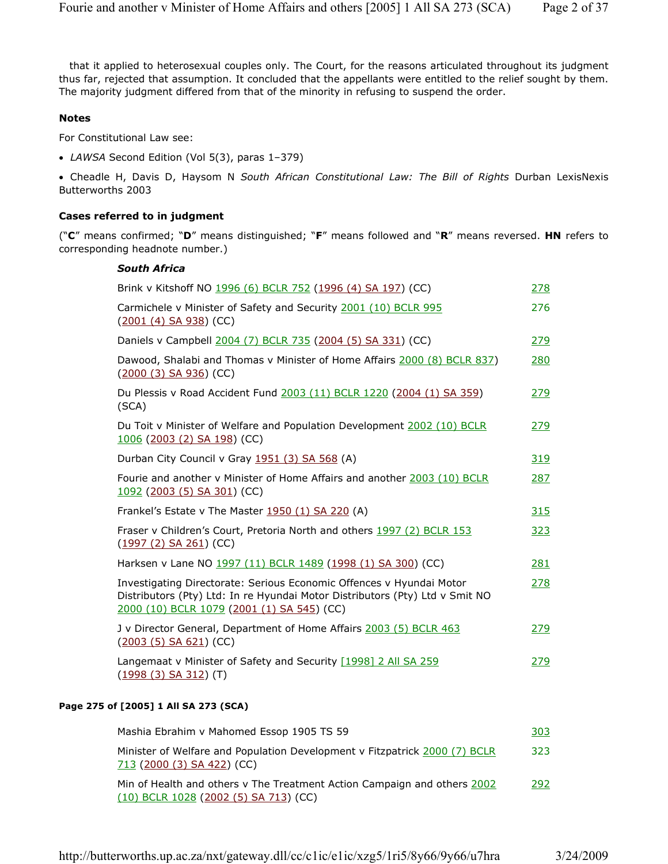that it applied to heterosexual couples only. The Court, for the reasons articulated throughout its judgment thus far, rejected that assumption. It concluded that the appellants were entitled to the relief sought by them. The majority judgment differed from that of the minority in refusing to suspend the order.

## **Notes**

For Constitutional Law see:

• *LAWSA* Second Edition (Vol 5(3), paras 1–379)

• Cheadle H, Davis D, Haysom N *South African Constitutional Law: The Bill of Rights* Durban LexisNexis Butterworths 2003

# **Cases referred to in judgment**

("**C**" means confirmed; "**D**" means distinguished; "**F**" means followed and "**R**" means reversed. **HN** refers to corresponding headnote number.)

| <b>South Africa</b>                                                                                                                                                                                |     |
|----------------------------------------------------------------------------------------------------------------------------------------------------------------------------------------------------|-----|
| Brink v Kitshoff NO 1996 (6) BCLR 752 (1996 (4) SA 197) (CC)                                                                                                                                       | 278 |
| Carmichele v Minister of Safety and Security 2001 (10) BCLR 995<br>(2001 (4) SA 938) (CC)                                                                                                          | 276 |
| Daniels v Campbell 2004 (7) BCLR 735 (2004 (5) SA 331) (CC)                                                                                                                                        | 279 |
| Dawood, Shalabi and Thomas v Minister of Home Affairs 2000 (8) BCLR 837)<br>$(2000(3)$ SA 936) (CC)                                                                                                | 280 |
| Du Plessis v Road Accident Fund 2003 (11) BCLR 1220 (2004 (1) SA 359)<br>(SCA)                                                                                                                     | 279 |
| Du Toit v Minister of Welfare and Population Development 2002 (10) BCLR<br>1006 (2003 (2) SA 198) (CC)                                                                                             | 279 |
| Durban City Council v Gray 1951 (3) SA 568 (A)                                                                                                                                                     | 319 |
| Fourie and another v Minister of Home Affairs and another 2003 (10) BCLR<br>1092 (2003 (5) SA 301) (CC)                                                                                            | 287 |
| Frankel's Estate v The Master 1950 (1) SA 220 (A)                                                                                                                                                  | 315 |
| Fraser v Children's Court, Pretoria North and others 1997 (2) BCLR 153<br>(1997 (2) SA 261) (CC)                                                                                                   | 323 |
| Harksen v Lane NO 1997 (11) BCLR 1489 (1998 (1) SA 300) (CC)                                                                                                                                       | 281 |
| Investigating Directorate: Serious Economic Offences v Hyundai Motor<br>Distributors (Pty) Ltd: In re Hyundai Motor Distributors (Pty) Ltd v Smit NO<br>2000 (10) BCLR 1079 (2001 (1) SA 545) (CC) | 278 |
| J v Director General, Department of Home Affairs 2003 (5) BCLR 463<br>$(2003(5)$ SA 621) (CC)                                                                                                      | 279 |
| Langemaat v Minister of Safety and Security [1998] 2 All SA 259<br>$(1998(3)$ SA 312)(T)                                                                                                           | 279 |
| Page 275 of [2005] 1 All SA 273 (SCA)                                                                                                                                                              |     |
| Machia Ehrahim y Mahomed Esson 1905 TS 59                                                                                                                                                          | 303 |

| Mashia Ebrahim v Mahomed Essop 1905 TS 59                                                                           | 303 |
|---------------------------------------------------------------------------------------------------------------------|-----|
| Minister of Welfare and Population Development v Fitzpatrick 2000 (7) BCLR<br>713 (2000 (3) SA 422) (CC)            | 323 |
| Min of Health and others v The Treatment Action Campaign and others 2002<br>$(10)$ BCLR 1028 (2002 (5) SA 713) (CC) | 292 |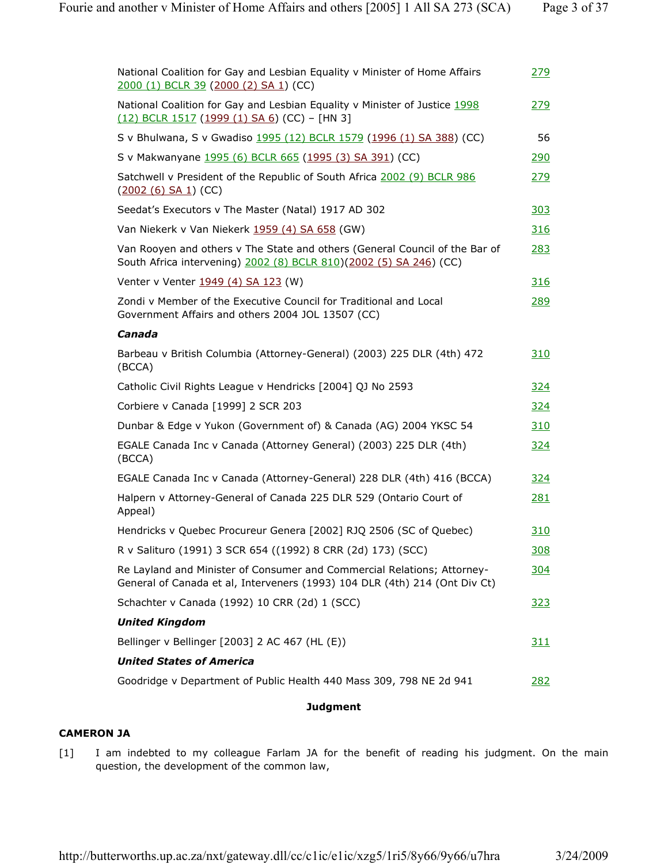| National Coalition for Gay and Lesbian Equality v Minister of Home Affairs<br>2000 (1) BCLR 39 (2000 (2) SA 1) (CC)                                   | 279        |
|-------------------------------------------------------------------------------------------------------------------------------------------------------|------------|
| National Coalition for Gay and Lesbian Equality v Minister of Justice 1998<br>$(12)$ BCLR 1517 (1999 (1) SA 6) (CC) - [HN 3]                          | 279        |
| S v Bhulwana, S v Gwadiso 1995 (12) BCLR 1579 (1996 (1) SA 388) (CC)                                                                                  | 56         |
| S v Makwanyane 1995 (6) BCLR 665 (1995 (3) SA 391) (CC)                                                                                               | 290        |
| Satchwell v President of the Republic of South Africa 2002 (9) BCLR 986<br>(2002(6) SA 1) (CC)                                                        | 279        |
| Seedat's Executors v The Master (Natal) 1917 AD 302                                                                                                   | 303        |
| Van Niekerk v Van Niekerk 1959 (4) SA 658 (GW)                                                                                                        | 316        |
| Van Rooyen and others v The State and others (General Council of the Bar of<br>South Africa intervening) 2002 (8) BCLR 810)(2002 (5) SA 246) (CC)     | 283        |
| Venter v Venter 1949 (4) SA 123 (W)                                                                                                                   | 316        |
| Zondi v Member of the Executive Council for Traditional and Local<br>Government Affairs and others 2004 JOL 13507 (CC)                                | 289        |
| Canada                                                                                                                                                |            |
| Barbeau v British Columbia (Attorney-General) (2003) 225 DLR (4th) 472<br>(BCCA)                                                                      | 310        |
| Catholic Civil Rights League v Hendricks [2004] QJ No 2593                                                                                            | 324        |
| Corbiere v Canada [1999] 2 SCR 203                                                                                                                    | 324        |
| Dunbar & Edge v Yukon (Government of) & Canada (AG) 2004 YKSC 54                                                                                      | 310        |
| EGALE Canada Inc v Canada (Attorney General) (2003) 225 DLR (4th)<br>(BCCA)                                                                           | 324        |
| EGALE Canada Inc v Canada (Attorney-General) 228 DLR (4th) 416 (BCCA)                                                                                 | 324        |
| Halpern v Attorney-General of Canada 225 DLR 529 (Ontario Court of<br>Appeal)                                                                         | 281        |
| Hendricks v Quebec Procureur Genera [2002] RJQ 2506 (SC of Quebec)                                                                                    | 310        |
| R v Salituro (1991) 3 SCR 654 ((1992) 8 CRR (2d) 173) (SCC)                                                                                           | 308        |
| Re Layland and Minister of Consumer and Commercial Relations; Attorney-<br>General of Canada et al, Interveners (1993) 104 DLR (4th) 214 (Ont Div Ct) | 304        |
| Schachter v Canada (1992) 10 CRR (2d) 1 (SCC)                                                                                                         | <u>323</u> |
| <b>United Kingdom</b>                                                                                                                                 |            |
| Bellinger v Bellinger [2003] 2 AC 467 (HL (E))                                                                                                        | <u>311</u> |
| <b>United States of America</b>                                                                                                                       |            |
| Goodridge v Department of Public Health 440 Mass 309, 798 NE 2d 941                                                                                   | 282        |

# **Judgment**

# **CAMERON JA**

[1] I am indebted to my colleague Farlam JA for the benefit of reading his judgment. On the main question, the development of the common law,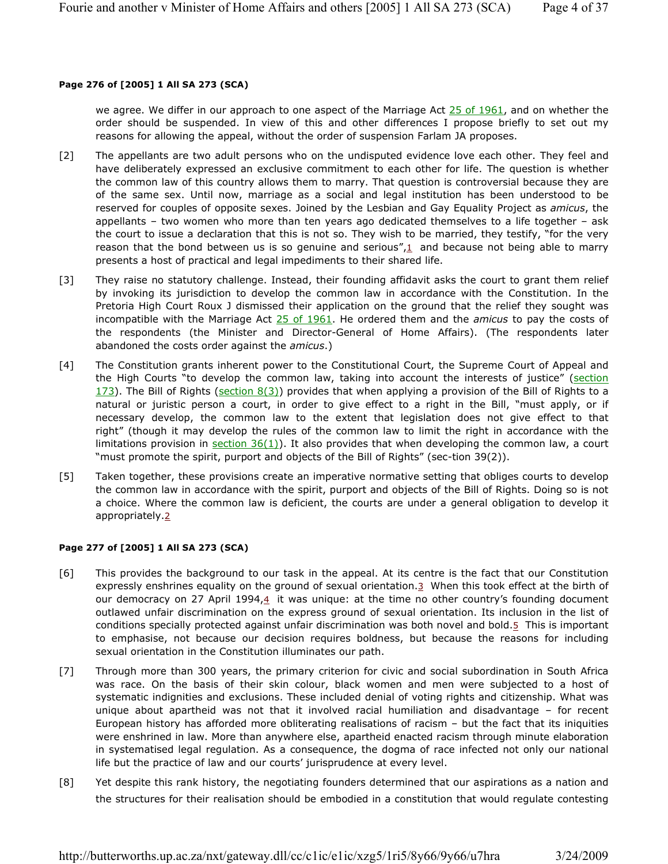## **Page 276 of [2005] 1 All SA 273 (SCA)**

we agree. We differ in our approach to one aspect of the Marriage Act 25 of 1961, and on whether the order should be suspended. In view of this and other differences I propose briefly to set out my reasons for allowing the appeal, without the order of suspension Farlam JA proposes.

- [2] The appellants are two adult persons who on the undisputed evidence love each other. They feel and have deliberately expressed an exclusive commitment to each other for life. The question is whether the common law of this country allows them to marry. That question is controversial because they are of the same sex. Until now, marriage as a social and legal institution has been understood to be reserved for couples of opposite sexes. Joined by the Lesbian and Gay Equality Project as *amicus*, the appellants – two women who more than ten years ago dedicated themselves to a life together – ask the court to issue a declaration that this is not so. They wish to be married, they testify, "for the very reason that the bond between us is so genuine and serious", $1$  and because not being able to marry presents a host of practical and legal impediments to their shared life.
- [3] They raise no statutory challenge. Instead, their founding affidavit asks the court to grant them relief by invoking its jurisdiction to develop the common law in accordance with the Constitution. In the Pretoria High Court Roux J dismissed their application on the ground that the relief they sought was incompatible with the Marriage Act 25 of 1961. He ordered them and the *amicus* to pay the costs of the respondents (the Minister and Director-General of Home Affairs). (The respondents later abandoned the costs order against the *amicus*.)
- [4] The Constitution grants inherent power to the Constitutional Court, the Supreme Court of Appeal and the High Courts "to develop the common law, taking into account the interests of justice" (section 173). The Bill of Rights (section  $8(3)$ ) provides that when applying a provision of the Bill of Rights to a natural or juristic person a court, in order to give effect to a right in the Bill, "must apply, or if necessary develop, the common law to the extent that legislation does not give effect to that right" (though it may develop the rules of the common law to limit the right in accordance with the limitations provision in  $section 36(1)$ . It also provides that when developing the common law, a court "must promote the spirit, purport and objects of the Bill of Rights" (sec-tion 39(2)).
- [5] Taken together, these provisions create an imperative normative setting that obliges courts to develop the common law in accordance with the spirit, purport and objects of the Bill of Rights. Doing so is not a choice. Where the common law is deficient, the courts are under a general obligation to develop it appropriately.2

# **Page 277 of [2005] 1 All SA 273 (SCA)**

- [6] This provides the background to our task in the appeal. At its centre is the fact that our Constitution expressly enshrines equality on the ground of sexual orientation.3 When this took effect at the birth of our democracy on 27 April 1994,4 it was unique: at the time no other country's founding document outlawed unfair discrimination on the express ground of sexual orientation. Its inclusion in the list of conditions specially protected against unfair discrimination was both novel and bold.5 This is important to emphasise, not because our decision requires boldness, but because the reasons for including sexual orientation in the Constitution illuminates our path.
- [7] Through more than 300 years, the primary criterion for civic and social subordination in South Africa was race. On the basis of their skin colour, black women and men were subjected to a host of systematic indignities and exclusions. These included denial of voting rights and citizenship. What was unique about apartheid was not that it involved racial humiliation and disadvantage – for recent European history has afforded more obliterating realisations of racism – but the fact that its iniquities were enshrined in law. More than anywhere else, apartheid enacted racism through minute elaboration in systematised legal regulation. As a consequence, the dogma of race infected not only our national life but the practice of law and our courts' jurisprudence at every level.
- [8] Yet despite this rank history, the negotiating founders determined that our aspirations as a nation and the structures for their realisation should be embodied in a constitution that would regulate contesting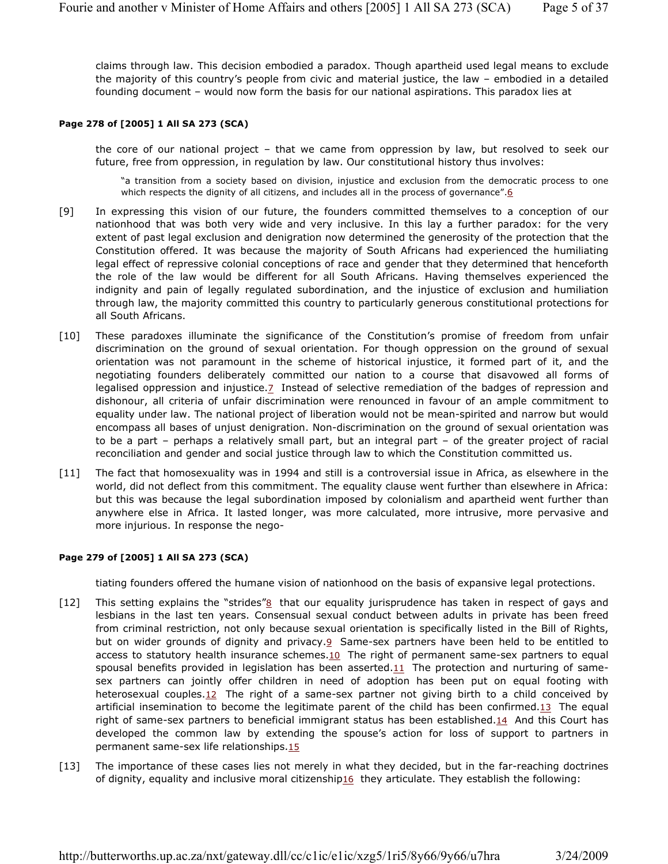claims through law. This decision embodied a paradox. Though apartheid used legal means to exclude the majority of this country's people from civic and material justice, the law – embodied in a detailed founding document – would now form the basis for our national aspirations. This paradox lies at

### **Page 278 of [2005] 1 All SA 273 (SCA)**

the core of our national project – that we came from oppression by law, but resolved to seek our future, free from oppression, in regulation by law. Our constitutional history thus involves:

"a transition from a society based on division, injustice and exclusion from the democratic process to one which respects the dignity of all citizens, and includes all in the process of governance".6

- [9] In expressing this vision of our future, the founders committed themselves to a conception of our nationhood that was both very wide and very inclusive. In this lay a further paradox: for the very extent of past legal exclusion and denigration now determined the generosity of the protection that the Constitution offered. It was because the majority of South Africans had experienced the humiliating legal effect of repressive colonial conceptions of race and gender that they determined that henceforth the role of the law would be different for all South Africans. Having themselves experienced the indignity and pain of legally regulated subordination, and the injustice of exclusion and humiliation through law, the majority committed this country to particularly generous constitutional protections for all South Africans.
- [10] These paradoxes illuminate the significance of the Constitution's promise of freedom from unfair discrimination on the ground of sexual orientation. For though oppression on the ground of sexual orientation was not paramount in the scheme of historical injustice, it formed part of it, and the negotiating founders deliberately committed our nation to a course that disavowed all forms of legalised oppression and injustice. $\overline{Z}$  Instead of selective remediation of the badges of repression and dishonour, all criteria of unfair discrimination were renounced in favour of an ample commitment to equality under law. The national project of liberation would not be mean-spirited and narrow but would encompass all bases of unjust denigration. Non-discrimination on the ground of sexual orientation was to be a part – perhaps a relatively small part, but an integral part – of the greater project of racial reconciliation and gender and social justice through law to which the Constitution committed us.
- [11] The fact that homosexuality was in 1994 and still is a controversial issue in Africa, as elsewhere in the world, did not deflect from this commitment. The equality clause went further than elsewhere in Africa: but this was because the legal subordination imposed by colonialism and apartheid went further than anywhere else in Africa. It lasted longer, was more calculated, more intrusive, more pervasive and more injurious. In response the nego-

# **Page 279 of [2005] 1 All SA 273 (SCA)**

tiating founders offered the humane vision of nationhood on the basis of expansive legal protections.

- [12] This setting explains the "strides" $8$  that our equality jurisprudence has taken in respect of gays and lesbians in the last ten years. Consensual sexual conduct between adults in private has been freed from criminal restriction, not only because sexual orientation is specifically listed in the Bill of Rights, but on wider grounds of dignity and privacy.9 Same-sex partners have been held to be entitled to access to statutory health insurance schemes.10 The right of permanent same-sex partners to equal spousal benefits provided in legislation has been asserted. $11$  The protection and nurturing of samesex partners can jointly offer children in need of adoption has been put on equal footing with heterosexual couples.12 The right of a same-sex partner not giving birth to a child conceived by artificial insemination to become the legitimate parent of the child has been confirmed.13 The equal right of same-sex partners to beneficial immigrant status has been established.14 And this Court has developed the common law by extending the spouse's action for loss of support to partners in permanent same-sex life relationships.15
- $[13]$ The importance of these cases lies not merely in what they decided, but in the far-reaching doctrines of dignity, equality and inclusive moral citizenship16 they articulate. They establish the following: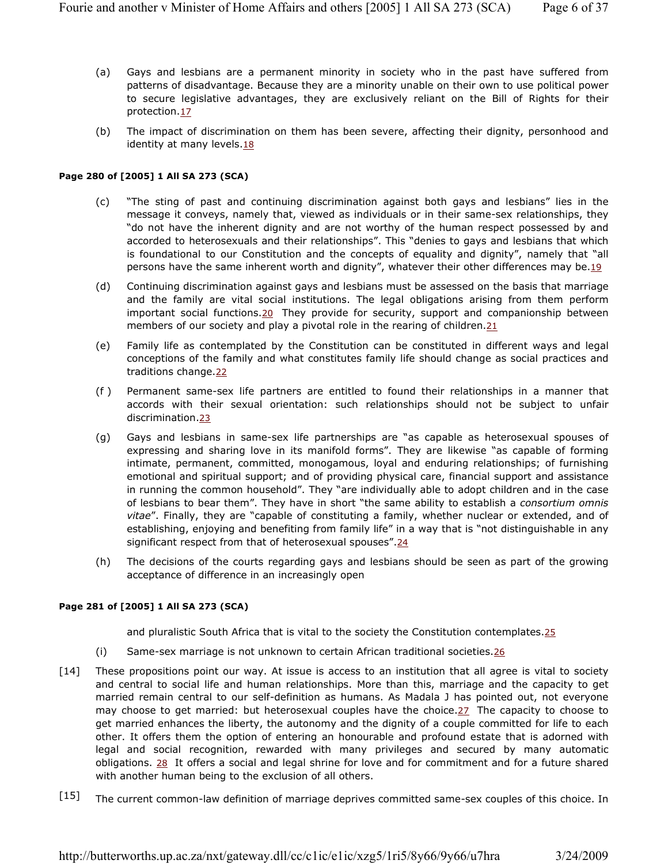- (a) Gays and lesbians are a permanent minority in society who in the past have suffered from patterns of disadvantage. Because they are a minority unable on their own to use political power to secure legislative advantages, they are exclusively reliant on the Bill of Rights for their protection.17
- (b) The impact of discrimination on them has been severe, affecting their dignity, personhood and identity at many levels.18

### **Page 280 of [2005] 1 All SA 273 (SCA)**

- (c) "The sting of past and continuing discrimination against both gays and lesbians" lies in the message it conveys, namely that, viewed as individuals or in their same-sex relationships, they "do not have the inherent dignity and are not worthy of the human respect possessed by and accorded to heterosexuals and their relationships". This "denies to gays and lesbians that which is foundational to our Constitution and the concepts of equality and dignity", namely that "all persons have the same inherent worth and dignity", whatever their other differences may be.19
- (d) Continuing discrimination against gays and lesbians must be assessed on the basis that marriage and the family are vital social institutions. The legal obligations arising from them perform important social functions.20 They provide for security, support and companionship between members of our society and play a pivotal role in the rearing of children. $21$
- (e) Family life as contemplated by the Constitution can be constituted in different ways and legal conceptions of the family and what constitutes family life should change as social practices and traditions change.22
- (f ) Permanent same-sex life partners are entitled to found their relationships in a manner that accords with their sexual orientation: such relationships should not be subject to unfair discrimination.23
- (g) Gays and lesbians in same-sex life partnerships are "as capable as heterosexual spouses of expressing and sharing love in its manifold forms". They are likewise "as capable of forming intimate, permanent, committed, monogamous, loyal and enduring relationships; of furnishing emotional and spiritual support; and of providing physical care, financial support and assistance in running the common household". They "are individually able to adopt children and in the case of lesbians to bear them". They have in short "the same ability to establish a *consortium omnis vitae*". Finally, they are "capable of constituting a family, whether nuclear or extended, and of establishing, enjoying and benefiting from family life" in a way that is "not distinguishable in any significant respect from that of heterosexual spouses".24
- (h) The decisions of the courts regarding gays and lesbians should be seen as part of the growing acceptance of difference in an increasingly open

### **Page 281 of [2005] 1 All SA 273 (SCA)**

and pluralistic South Africa that is vital to the society the Constitution contemplates.25

- (i) Same-sex marriage is not unknown to certain African traditional societies.26
- $\lceil 14 \rceil$ These propositions point our way. At issue is access to an institution that all agree is vital to society and central to social life and human relationships. More than this, marriage and the capacity to get married remain central to our self-definition as humans. As Madala J has pointed out, not everyone may choose to get married: but heterosexual couples have the choice.27 The capacity to choose to get married enhances the liberty, the autonomy and the dignity of a couple committed for life to each other. It offers them the option of entering an honourable and profound estate that is adorned with legal and social recognition, rewarded with many privileges and secured by many automatic obligations. 28 It offers a social and legal shrine for love and for commitment and for a future shared with another human being to the exclusion of all others.
- [15] The current common-law definition of marriage deprives committed same-sex couples of this choice. In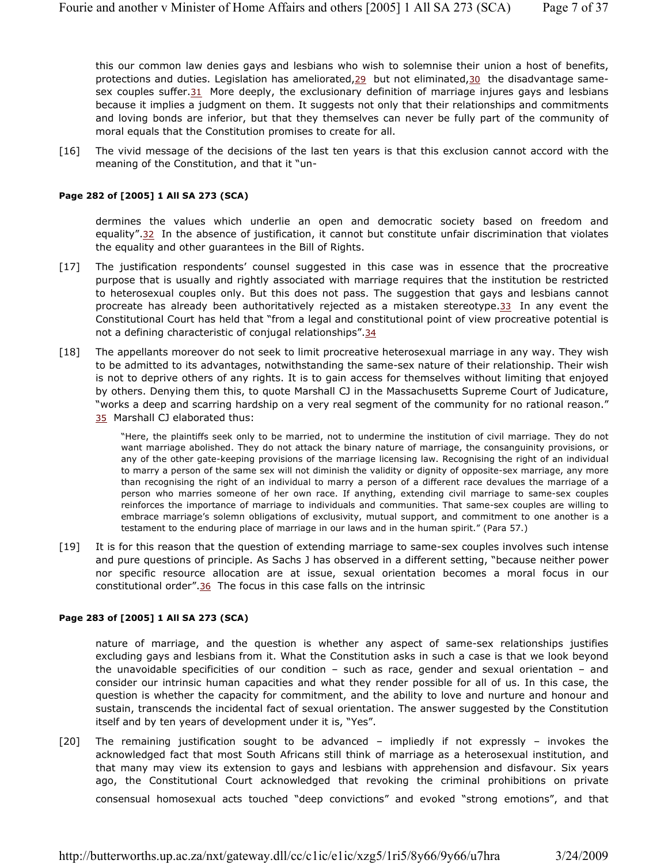this our common law denies gays and lesbians who wish to solemnise their union a host of benefits, protections and duties. Legislation has ameliorated, 29 but not eliminated, 30 the disadvantage samesex couples suffer.31 More deeply, the exclusionary definition of marriage injures gays and lesbians because it implies a judgment on them. It suggests not only that their relationships and commitments and loving bonds are inferior, but that they themselves can never be fully part of the community of moral equals that the Constitution promises to create for all.

 $[16]$ The vivid message of the decisions of the last ten years is that this exclusion cannot accord with the meaning of the Constitution, and that it "un-

#### **Page 282 of [2005] 1 All SA 273 (SCA)**

dermines the values which underlie an open and democratic society based on freedom and equality".32 In the absence of justification, it cannot but constitute unfair discrimination that violates the equality and other guarantees in the Bill of Rights.

- $[17]$ The justification respondents' counsel suggested in this case was in essence that the procreative purpose that is usually and rightly associated with marriage requires that the institution be restricted to heterosexual couples only. But this does not pass. The suggestion that gays and lesbians cannot procreate has already been authoritatively rejected as a mistaken stereotype.33 In any event the Constitutional Court has held that "from a legal and constitutional point of view procreative potential is not a defining characteristic of conjugal relationships".34
- [18] The appellants moreover do not seek to limit procreative heterosexual marriage in any way. They wish to be admitted to its advantages, notwithstanding the same-sex nature of their relationship. Their wish is not to deprive others of any rights. It is to gain access for themselves without limiting that enjoyed by others. Denying them this, to quote Marshall CJ in the Massachusetts Supreme Court of Judicature, "works a deep and scarring hardship on a very real segment of the community for no rational reason." 35 Marshall CJ elaborated thus:

"Here, the plaintiffs seek only to be married, not to undermine the institution of civil marriage. They do not want marriage abolished. They do not attack the binary nature of marriage, the consanguinity provisions, or any of the other gate-keeping provisions of the marriage licensing law. Recognising the right of an individual to marry a person of the same sex will not diminish the validity or dignity of opposite-sex marriage, any more than recognising the right of an individual to marry a person of a different race devalues the marriage of a person who marries someone of her own race. If anything, extending civil marriage to same-sex couples reinforces the importance of marriage to individuals and communities. That same-sex couples are willing to embrace marriage's solemn obligations of exclusivity, mutual support, and commitment to one another is a testament to the enduring place of marriage in our laws and in the human spirit." (Para 57.)

[19] It is for this reason that the question of extending marriage to same-sex couples involves such intense and pure questions of principle. As Sachs J has observed in a different setting, "because neither power nor specific resource allocation are at issue, sexual orientation becomes a moral focus in our constitutional order".36 The focus in this case falls on the intrinsic

### **Page 283 of [2005] 1 All SA 273 (SCA)**

nature of marriage, and the question is whether any aspect of same-sex relationships justifies excluding gays and lesbians from it. What the Constitution asks in such a case is that we look beyond the unavoidable specificities of our condition – such as race, gender and sexual orientation – and consider our intrinsic human capacities and what they render possible for all of us. In this case, the question is whether the capacity for commitment, and the ability to love and nurture and honour and sustain, transcends the incidental fact of sexual orientation. The answer suggested by the Constitution itself and by ten years of development under it is, "Yes".

[20] The remaining justification sought to be advanced – impliedly if not expressly – invokes the acknowledged fact that most South Africans still think of marriage as a heterosexual institution, and that many may view its extension to gays and lesbians with apprehension and disfavour. Six years ago, the Constitutional Court acknowledged that revoking the criminal prohibitions on private consensual homosexual acts touched "deep convictions" and evoked "strong emotions", and that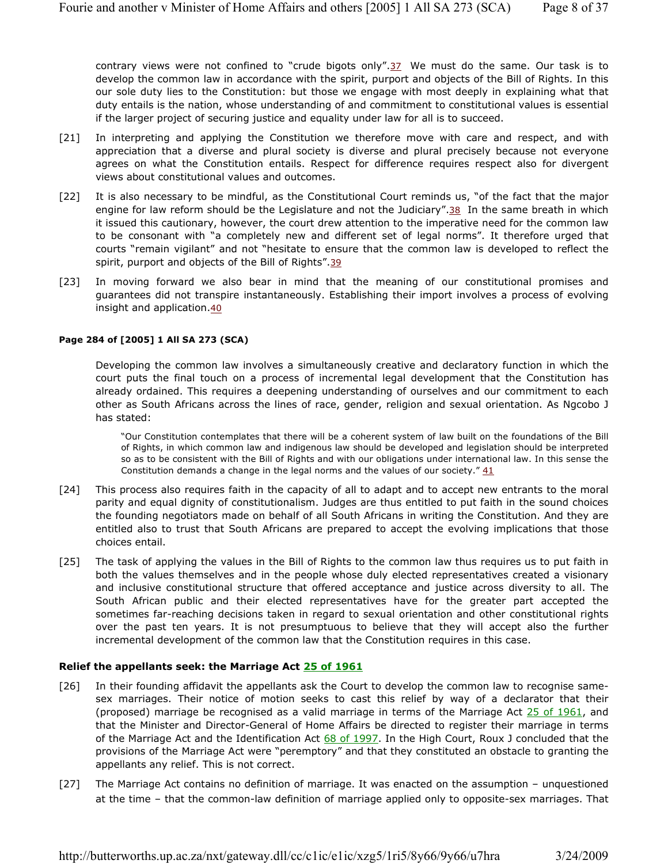contrary views were not confined to "crude bigots only".37 We must do the same. Our task is to develop the common law in accordance with the spirit, purport and objects of the Bill of Rights. In this our sole duty lies to the Constitution: but those we engage with most deeply in explaining what that duty entails is the nation, whose understanding of and commitment to constitutional values is essential if the larger project of securing justice and equality under law for all is to succeed.

- [21] In interpreting and applying the Constitution we therefore move with care and respect, and with appreciation that a diverse and plural society is diverse and plural precisely because not everyone agrees on what the Constitution entails. Respect for difference requires respect also for divergent views about constitutional values and outcomes.
- [22] It is also necessary to be mindful, as the Constitutional Court reminds us, "of the fact that the major engine for law reform should be the Legislature and not the Judiciary".38 In the same breath in which it issued this cautionary, however, the court drew attention to the imperative need for the common law to be consonant with "a completely new and different set of legal norms". It therefore urged that courts "remain vigilant" and not "hesitate to ensure that the common law is developed to reflect the spirit, purport and objects of the Bill of Rights".39
- [23] In moving forward we also bear in mind that the meaning of our constitutional promises and guarantees did not transpire instantaneously. Establishing their import involves a process of evolving insight and application.40

### **Page 284 of [2005] 1 All SA 273 (SCA)**

Developing the common law involves a simultaneously creative and declaratory function in which the court puts the final touch on a process of incremental legal development that the Constitution has already ordained. This requires a deepening understanding of ourselves and our commitment to each other as South Africans across the lines of race, gender, religion and sexual orientation. As Ngcobo J has stated:

"Our Constitution contemplates that there will be a coherent system of law built on the foundations of the Bill of Rights, in which common law and indigenous law should be developed and legislation should be interpreted so as to be consistent with the Bill of Rights and with our obligations under international law. In this sense the Constitution demands a change in the legal norms and the values of our society."  $41$ 

- [24] This process also requires faith in the capacity of all to adapt and to accept new entrants to the moral parity and equal dignity of constitutionalism. Judges are thus entitled to put faith in the sound choices the founding negotiators made on behalf of all South Africans in writing the Constitution. And they are entitled also to trust that South Africans are prepared to accept the evolving implications that those choices entail.
- [25] The task of applying the values in the Bill of Rights to the common law thus requires us to put faith in both the values themselves and in the people whose duly elected representatives created a visionary and inclusive constitutional structure that offered acceptance and justice across diversity to all. The South African public and their elected representatives have for the greater part accepted the sometimes far-reaching decisions taken in regard to sexual orientation and other constitutional rights over the past ten years. It is not presumptuous to believe that they will accept also the further incremental development of the common law that the Constitution requires in this case.

# **Relief the appellants seek: the Marriage Act 25 of 1961**

- [26] In their founding affidavit the appellants ask the Court to develop the common law to recognise samesex marriages. Their notice of motion seeks to cast this relief by way of a declarator that their (proposed) marriage be recognised as a valid marriage in terms of the Marriage Act 25 of 1961, and that the Minister and Director-General of Home Affairs be directed to register their marriage in terms of the Marriage Act and the Identification Act 68 of 1997. In the High Court, Roux J concluded that the provisions of the Marriage Act were "peremptory" and that they constituted an obstacle to granting the appellants any relief. This is not correct.
- [27] The Marriage Act contains no definition of marriage. It was enacted on the assumption – unquestioned at the time – that the common-law definition of marriage applied only to opposite-sex marriages. That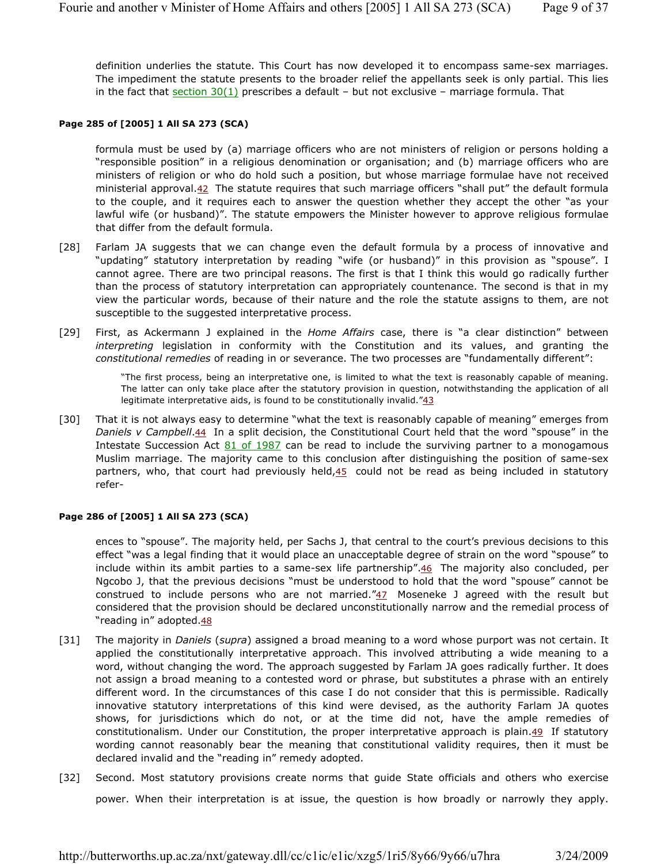definition underlies the statute. This Court has now developed it to encompass same-sex marriages. The impediment the statute presents to the broader relief the appellants seek is only partial. This lies in the fact that section  $30(1)$  prescribes a default – but not exclusive – marriage formula. That

#### **Page 285 of [2005] 1 All SA 273 (SCA)**

formula must be used by (a) marriage officers who are not ministers of religion or persons holding a "responsible position" in a religious denomination or organisation; and (b) marriage officers who are ministers of religion or who do hold such a position, but whose marriage formulae have not received ministerial approval.42 The statute requires that such marriage officers "shall put" the default formula to the couple, and it requires each to answer the question whether they accept the other "as your lawful wife (or husband)". The statute empowers the Minister however to approve religious formulae that differ from the default formula.

- [28] Farlam JA suggests that we can change even the default formula by a process of innovative and "updating" statutory interpretation by reading "wife (or husband)" in this provision as "spouse". I cannot agree. There are two principal reasons. The first is that I think this would go radically further than the process of statutory interpretation can appropriately countenance. The second is that in my view the particular words, because of their nature and the role the statute assigns to them, are not susceptible to the suggested interpretative process.
- [29] First, as Ackermann J explained in the *Home Affairs* case, there is "a clear distinction" between *interpreting* legislation in conformity with the Constitution and its values, and granting the *constitutional remedies* of reading in or severance. The two processes are "fundamentally different":

"The first process, being an interpretative one, is limited to what the text is reasonably capable of meaning. The latter can only take place after the statutory provision in question, notwithstanding the application of all legitimate interpretative aids, is found to be constitutionally invalid."43

[30] That it is not always easy to determine "what the text is reasonably capable of meaning" emerges from *Daniels v Campbell*.44 In a split decision, the Constitutional Court held that the word "spouse" in the Intestate Succession Act  $81$  of 1987 can be read to include the surviving partner to a monogamous Muslim marriage. The majority came to this conclusion after distinguishing the position of same-sex partners, who, that court had previously held, 45 could not be read as being included in statutory refer-

### **Page 286 of [2005] 1 All SA 273 (SCA)**

ences to "spouse". The majority held, per Sachs J, that central to the court's previous decisions to this effect "was a legal finding that it would place an unacceptable degree of strain on the word "spouse" to include within its ambit parties to a same-sex life partnership".46 The majority also concluded, per Ngcobo J, that the previous decisions "must be understood to hold that the word "spouse" cannot be construed to include persons who are not married."47 Moseneke J agreed with the result but considered that the provision should be declared unconstitutionally narrow and the remedial process of "reading in" adopted.48

- [31] The majority in *Daniels* (*supra*) assigned a broad meaning to a word whose purport was not certain. It applied the constitutionally interpretative approach. This involved attributing a wide meaning to a word, without changing the word. The approach suggested by Farlam JA goes radically further. It does not assign a broad meaning to a contested word or phrase, but substitutes a phrase with an entirely different word. In the circumstances of this case I do not consider that this is permissible. Radically innovative statutory interpretations of this kind were devised, as the authority Farlam JA quotes shows, for jurisdictions which do not, or at the time did not, have the ample remedies of constitutionalism. Under our Constitution, the proper interpretative approach is plain.49 If statutory wording cannot reasonably bear the meaning that constitutional validity requires, then it must be declared invalid and the "reading in" remedy adopted.
- [32] Second. Most statutory provisions create norms that guide State officials and others who exercise power. When their interpretation is at issue, the question is how broadly or narrowly they apply.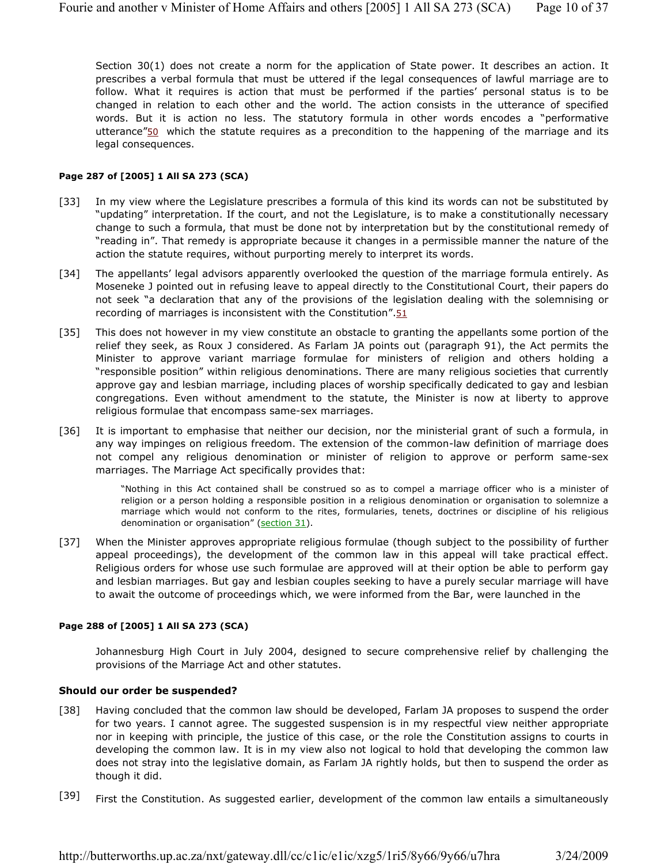Section 30(1) does not create a norm for the application of State power. It describes an action. It prescribes a verbal formula that must be uttered if the legal consequences of lawful marriage are to follow. What it requires is action that must be performed if the parties' personal status is to be changed in relation to each other and the world. The action consists in the utterance of specified words. But it is action no less. The statutory formula in other words encodes a "performative utterance" $50$  which the statute requires as a precondition to the happening of the marriage and its legal consequences.

### **Page 287 of [2005] 1 All SA 273 (SCA)**

- [33] In my view where the Legislature prescribes a formula of this kind its words can not be substituted by "updating" interpretation. If the court, and not the Legislature, is to make a constitutionally necessary change to such a formula, that must be done not by interpretation but by the constitutional remedy of "reading in". That remedy is appropriate because it changes in a permissible manner the nature of the action the statute requires, without purporting merely to interpret its words.
- [34] The appellants' legal advisors apparently overlooked the question of the marriage formula entirely. As Moseneke J pointed out in refusing leave to appeal directly to the Constitutional Court, their papers do not seek "a declaration that any of the provisions of the legislation dealing with the solemnising or recording of marriages is inconsistent with the Constitution".51
- [35] This does not however in my view constitute an obstacle to granting the appellants some portion of the relief they seek, as Roux J considered. As Farlam JA points out (paragraph 91), the Act permits the Minister to approve variant marriage formulae for ministers of religion and others holding a "responsible position" within religious denominations. There are many religious societies that currently approve gay and lesbian marriage, including places of worship specifically dedicated to gay and lesbian congregations. Even without amendment to the statute, the Minister is now at liberty to approve religious formulae that encompass same-sex marriages.
- [36] It is important to emphasise that neither our decision, nor the ministerial grant of such a formula, in any way impinges on religious freedom. The extension of the common-law definition of marriage does not compel any religious denomination or minister of religion to approve or perform same-sex marriages. The Marriage Act specifically provides that:

"Nothing in this Act contained shall be construed so as to compel a marriage officer who is a minister of religion or a person holding a responsible position in a religious denomination or organisation to solemnize a marriage which would not conform to the rites, formularies, tenets, doctrines or discipline of his religious denomination or organisation" (section 31).

[37] When the Minister approves appropriate religious formulae (though subject to the possibility of further appeal proceedings), the development of the common law in this appeal will take practical effect. Religious orders for whose use such formulae are approved will at their option be able to perform gay and lesbian marriages. But gay and lesbian couples seeking to have a purely secular marriage will have to await the outcome of proceedings which, we were informed from the Bar, were launched in the

### **Page 288 of [2005] 1 All SA 273 (SCA)**

Johannesburg High Court in July 2004, designed to secure comprehensive relief by challenging the provisions of the Marriage Act and other statutes.

### **Should our order be suspended?**

- [38] Having concluded that the common law should be developed, Farlam JA proposes to suspend the order for two years. I cannot agree. The suggested suspension is in my respectful view neither appropriate nor in keeping with principle, the justice of this case, or the role the Constitution assigns to courts in developing the common law. It is in my view also not logical to hold that developing the common law does not stray into the legislative domain, as Farlam JA rightly holds, but then to suspend the order as though it did.
- [39] First the Constitution. As suggested earlier, development of the common law entails a simultaneously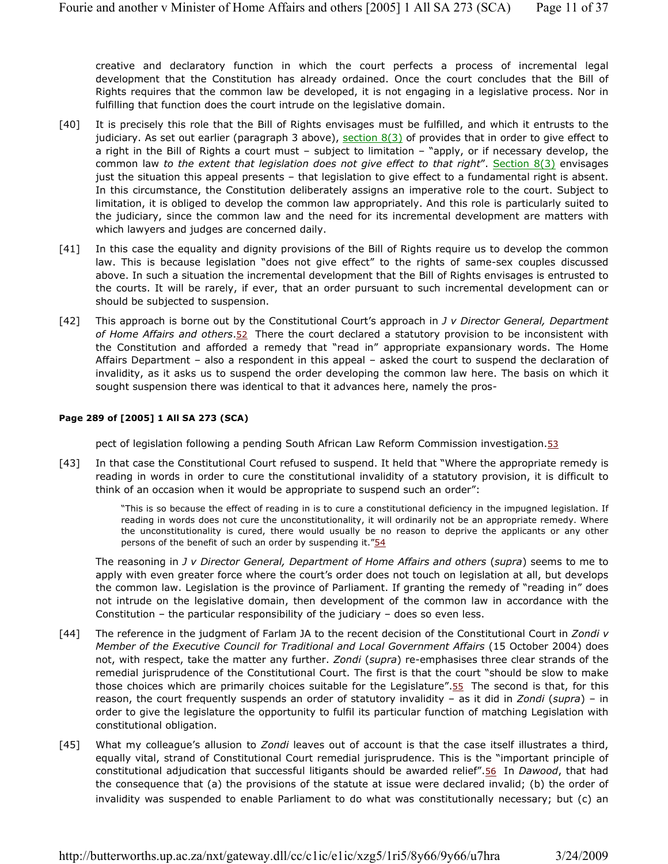creative and declaratory function in which the court perfects a process of incremental legal development that the Constitution has already ordained. Once the court concludes that the Bill of Rights requires that the common law be developed, it is not engaging in a legislative process. Nor in fulfilling that function does the court intrude on the legislative domain.

- [40] It is precisely this role that the Bill of Rights envisages must be fulfilled, and which it entrusts to the judiciary. As set out earlier (paragraph 3 above), section 8(3) of provides that in order to give effect to a right in the Bill of Rights a court must – subject to limitation – "apply, or if necessary develop, the common law *to the extent that legislation does not give effect to that right*". Section 8(3) envisages just the situation this appeal presents – that legislation to give effect to a fundamental right is absent. In this circumstance, the Constitution deliberately assigns an imperative role to the court. Subject to limitation, it is obliged to develop the common law appropriately. And this role is particularly suited to the judiciary, since the common law and the need for its incremental development are matters with which lawyers and judges are concerned daily.
- [41] In this case the equality and dignity provisions of the Bill of Rights require us to develop the common law. This is because legislation "does not give effect" to the rights of same-sex couples discussed above. In such a situation the incremental development that the Bill of Rights envisages is entrusted to the courts. It will be rarely, if ever, that an order pursuant to such incremental development can or should be subjected to suspension.
- [42] This approach is borne out by the Constitutional Court's approach in *J v Director General, Department of Home Affairs and others*.52 There the court declared a statutory provision to be inconsistent with the Constitution and afforded a remedy that "read in" appropriate expansionary words. The Home Affairs Department – also a respondent in this appeal – asked the court to suspend the declaration of invalidity, as it asks us to suspend the order developing the common law here. The basis on which it sought suspension there was identical to that it advances here, namely the pros-

## **Page 289 of [2005] 1 All SA 273 (SCA)**

pect of legislation following a pending South African Law Reform Commission investigation.53

[43] In that case the Constitutional Court refused to suspend. It held that "Where the appropriate remedy is reading in words in order to cure the constitutional invalidity of a statutory provision, it is difficult to think of an occasion when it would be appropriate to suspend such an order":

> "This is so because the effect of reading in is to cure a constitutional deficiency in the impugned legislation. If reading in words does not cure the unconstitutionality, it will ordinarily not be an appropriate remedy. Where the unconstitutionality is cured, there would usually be no reason to deprive the applicants or any other persons of the benefit of such an order by suspending it."54

The reasoning in *J v Director General, Department of Home Affairs and others* (*supra*) seems to me to apply with even greater force where the court's order does not touch on legislation at all, but develops the common law. Legislation is the province of Parliament. If granting the remedy of "reading in" does not intrude on the legislative domain, then development of the common law in accordance with the Constitution – the particular responsibility of the judiciary – does so even less.

- [44] The reference in the judgment of Farlam JA to the recent decision of the Constitutional Court in *Zondi v Member of the Executive Council for Traditional and Local Government Affairs* (15 October 2004) does not, with respect, take the matter any further. *Zondi* (*supra*) re-emphasises three clear strands of the remedial jurisprudence of the Constitutional Court. The first is that the court "should be slow to make those choices which are primarily choices suitable for the Legislature".55 The second is that, for this reason, the court frequently suspends an order of statutory invalidity – as it did in *Zondi* (*supra*) – in order to give the legislature the opportunity to fulfil its particular function of matching Legislation with constitutional obligation.
- [45] What my colleague's allusion to *Zondi* leaves out of account is that the case itself illustrates a third, equally vital, strand of Constitutional Court remedial jurisprudence. This is the "important principle of constitutional adjudication that successful litigants should be awarded relief".56 In *Dawood*, that had the consequence that (a) the provisions of the statute at issue were declared invalid; (b) the order of invalidity was suspended to enable Parliament to do what was constitutionally necessary; but (c) an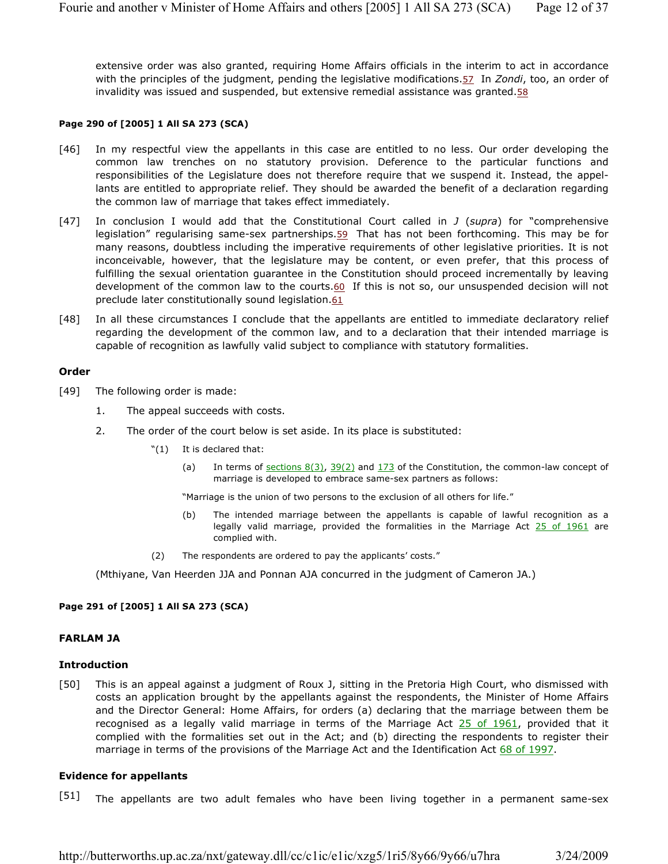extensive order was also granted, requiring Home Affairs officials in the interim to act in accordance with the principles of the judgment, pending the legislative modifications.57 In *Zondi*, too, an order of invalidity was issued and suspended, but extensive remedial assistance was granted.58

### **Page 290 of [2005] 1 All SA 273 (SCA)**

- [46] In my respectful view the appellants in this case are entitled to no less. Our order developing the common law trenches on no statutory provision. Deference to the particular functions and responsibilities of the Legislature does not therefore require that we suspend it. Instead, the appellants are entitled to appropriate relief. They should be awarded the benefit of a declaration regarding the common law of marriage that takes effect immediately.
- [47] In conclusion I would add that the Constitutional Court called in *J* (*supra*) for "comprehensive legislation" regularising same-sex partnerships.59 That has not been forthcoming. This may be for many reasons, doubtless including the imperative requirements of other legislative priorities. It is not inconceivable, however, that the legislature may be content, or even prefer, that this process of fulfilling the sexual orientation guarantee in the Constitution should proceed incrementally by leaving development of the common law to the courts.60 If this is not so, our unsuspended decision will not preclude later constitutionally sound legislation.61
- [48] In all these circumstances I conclude that the appellants are entitled to immediate declaratory relief regarding the development of the common law, and to a declaration that their intended marriage is capable of recognition as lawfully valid subject to compliance with statutory formalities.

# **Order**

- [49] The following order is made:
	- 1. The appeal succeeds with costs.
	- 2. The order of the court below is set aside. In its place is substituted:
		- "(1) It is declared that:
			- (a) In terms of sections  $8(3)$ ,  $39(2)$  and  $173$  of the Constitution, the common-law concept of marriage is developed to embrace same-sex partners as follows:

"Marriage is the union of two persons to the exclusion of all others for life."

- (b) The intended marriage between the appellants is capable of lawful recognition as a legally valid marriage, provided the formalities in the Marriage Act  $25$  of  $1961$  are complied with.
- (2) The respondents are ordered to pay the applicants' costs."

(Mthiyane, Van Heerden JJA and Ponnan AJA concurred in the judgment of Cameron JA.)

# **Page 291 of [2005] 1 All SA 273 (SCA)**

# **FARLAM JA**

### **Introduction**

[50] This is an appeal against a judgment of Roux J, sitting in the Pretoria High Court, who dismissed with costs an application brought by the appellants against the respondents, the Minister of Home Affairs and the Director General: Home Affairs, for orders (a) declaring that the marriage between them be recognised as a legally valid marriage in terms of the Marriage Act 25 of 1961, provided that it complied with the formalities set out in the Act; and (b) directing the respondents to register their marriage in terms of the provisions of the Marriage Act and the Identification Act 68 of 1997.

# **Evidence for appellants**

[51] The appellants are two adult females who have been living together in a permanent same-sex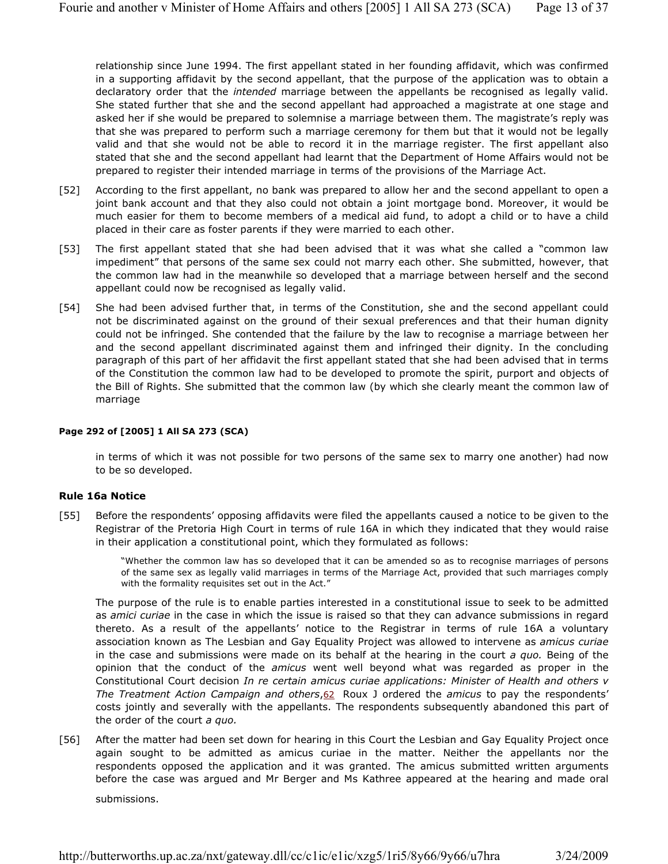relationship since June 1994. The first appellant stated in her founding affidavit, which was confirmed in a supporting affidavit by the second appellant, that the purpose of the application was to obtain a declaratory order that the *intended* marriage between the appellants be recognised as legally valid. She stated further that she and the second appellant had approached a magistrate at one stage and asked her if she would be prepared to solemnise a marriage between them. The magistrate's reply was that she was prepared to perform such a marriage ceremony for them but that it would not be legally valid and that she would not be able to record it in the marriage register. The first appellant also stated that she and the second appellant had learnt that the Department of Home Affairs would not be prepared to register their intended marriage in terms of the provisions of the Marriage Act.

- [52] According to the first appellant, no bank was prepared to allow her and the second appellant to open a joint bank account and that they also could not obtain a joint mortgage bond. Moreover, it would be much easier for them to become members of a medical aid fund, to adopt a child or to have a child placed in their care as foster parents if they were married to each other.
- [53] The first appellant stated that she had been advised that it was what she called a "common law impediment" that persons of the same sex could not marry each other. She submitted, however, that the common law had in the meanwhile so developed that a marriage between herself and the second appellant could now be recognised as legally valid.
- [54] She had been advised further that, in terms of the Constitution, she and the second appellant could not be discriminated against on the ground of their sexual preferences and that their human dignity could not be infringed. She contended that the failure by the law to recognise a marriage between her and the second appellant discriminated against them and infringed their dignity. In the concluding paragraph of this part of her affidavit the first appellant stated that she had been advised that in terms of the Constitution the common law had to be developed to promote the spirit, purport and objects of the Bill of Rights. She submitted that the common law (by which she clearly meant the common law of marriage

### **Page 292 of [2005] 1 All SA 273 (SCA)**

in terms of which it was not possible for two persons of the same sex to marry one another) had now to be so developed.

### **Rule 16a Notice**

[55] Before the respondents' opposing affidavits were filed the appellants caused a notice to be given to the Registrar of the Pretoria High Court in terms of rule 16A in which they indicated that they would raise in their application a constitutional point, which they formulated as follows:

> "Whether the common law has so developed that it can be amended so as to recognise marriages of persons of the same sex as legally valid marriages in terms of the Marriage Act, provided that such marriages comply with the formality requisites set out in the Act."

The purpose of the rule is to enable parties interested in a constitutional issue to seek to be admitted as *amici curiae* in the case in which the issue is raised so that they can advance submissions in regard thereto. As a result of the appellants' notice to the Registrar in terms of rule 16A a voluntary association known as The Lesbian and Gay Equality Project was allowed to intervene as *amicus curiae*  in the case and submissions were made on its behalf at the hearing in the court *a quo.* Being of the opinion that the conduct of the *amicus* went well beyond what was regarded as proper in the Constitutional Court decision *In re certain amicus curiae applications: Minister of Health and others v The Treatment Action Campaign and others*,62 Roux J ordered the *amicus* to pay the respondents' costs jointly and severally with the appellants. The respondents subsequently abandoned this part of the order of the court *a quo.*

[56] submissions. After the matter had been set down for hearing in this Court the Lesbian and Gay Equality Project once again sought to be admitted as amicus curiae in the matter. Neither the appellants nor the respondents opposed the application and it was granted. The amicus submitted written arguments before the case was argued and Mr Berger and Ms Kathree appeared at the hearing and made oral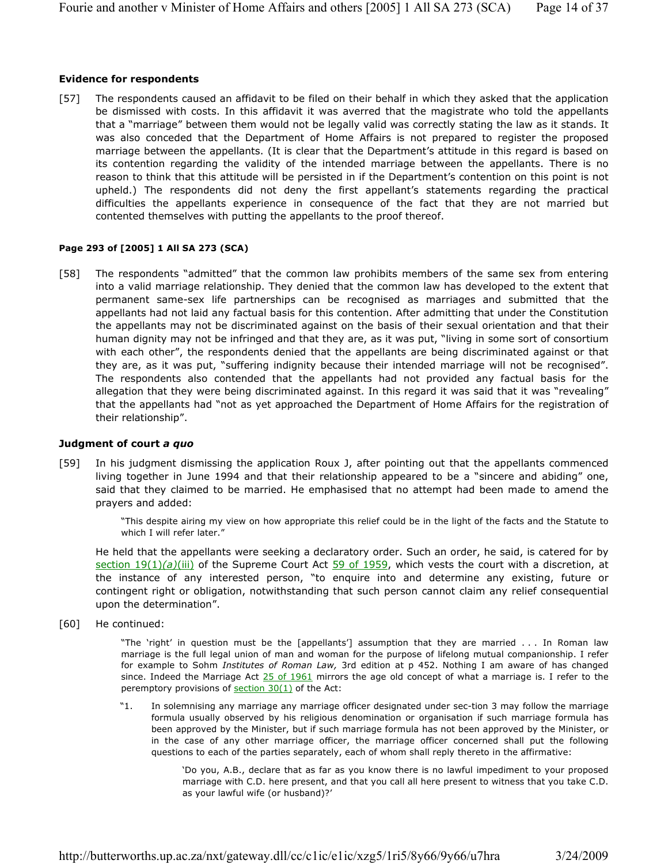## **Evidence for respondents**

[57] The respondents caused an affidavit to be filed on their behalf in which they asked that the application be dismissed with costs. In this affidavit it was averred that the magistrate who told the appellants that a "marriage" between them would not be legally valid was correctly stating the law as it stands. It was also conceded that the Department of Home Affairs is not prepared to register the proposed marriage between the appellants. (It is clear that the Department's attitude in this regard is based on its contention regarding the validity of the intended marriage between the appellants. There is no reason to think that this attitude will be persisted in if the Department's contention on this point is not upheld.) The respondents did not deny the first appellant's statements regarding the practical difficulties the appellants experience in consequence of the fact that they are not married but contented themselves with putting the appellants to the proof thereof.

### **Page 293 of [2005] 1 All SA 273 (SCA)**

[58] The respondents "admitted" that the common law prohibits members of the same sex from entering into a valid marriage relationship. They denied that the common law has developed to the extent that permanent same-sex life partnerships can be recognised as marriages and submitted that the appellants had not laid any factual basis for this contention. After admitting that under the Constitution the appellants may not be discriminated against on the basis of their sexual orientation and that their human dignity may not be infringed and that they are, as it was put, "living in some sort of consortium with each other", the respondents denied that the appellants are being discriminated against or that they are, as it was put, "suffering indignity because their intended marriage will not be recognised". The respondents also contended that the appellants had not provided any factual basis for the allegation that they were being discriminated against. In this regard it was said that it was "revealing" that the appellants had "not as yet approached the Department of Home Affairs for the registration of their relationship".

## **Judgment of court** *a quo*

[59] In his judgment dismissing the application Roux J, after pointing out that the appellants commenced living together in June 1994 and that their relationship appeared to be a "sincere and abiding" one, said that they claimed to be married. He emphasised that no attempt had been made to amend the prayers and added:

> "This despite airing my view on how appropriate this relief could be in the light of the facts and the Statute to which I will refer later."

He held that the appellants were seeking a declaratory order. Such an order, he said, is catered for by section 19(1)(a)(iii) of the Supreme Court Act 59 of 1959, which vests the court with a discretion, at the instance of any interested person, "to enquire into and determine any existing, future or contingent right or obligation, notwithstanding that such person cannot claim any relief consequential upon the determination".

[60] He continued:

> "The 'right' in question must be the [appellants'] assumption that they are married . . . In Roman law marriage is the full legal union of man and woman for the purpose of lifelong mutual companionship. I refer for example to Sohm *Institutes of Roman Law,* 3rd edition at p 452. Nothing I am aware of has changed since. Indeed the Marriage Act 25 of 1961 mirrors the age old concept of what a marriage is. I refer to the peremptory provisions of section 30(1) of the Act:

> "1. In solemnising any marriage any marriage officer designated under sec-tion 3 may follow the marriage formula usually observed by his religious denomination or organisation if such marriage formula has been approved by the Minister, but if such marriage formula has not been approved by the Minister, or in the case of any other marriage officer, the marriage officer concerned shall put the following questions to each of the parties separately, each of whom shall reply thereto in the affirmative:

> > 'Do you, A.B., declare that as far as you know there is no lawful impediment to your proposed marriage with C.D. here present, and that you call all here present to witness that you take C.D. as your lawful wife (or husband)?'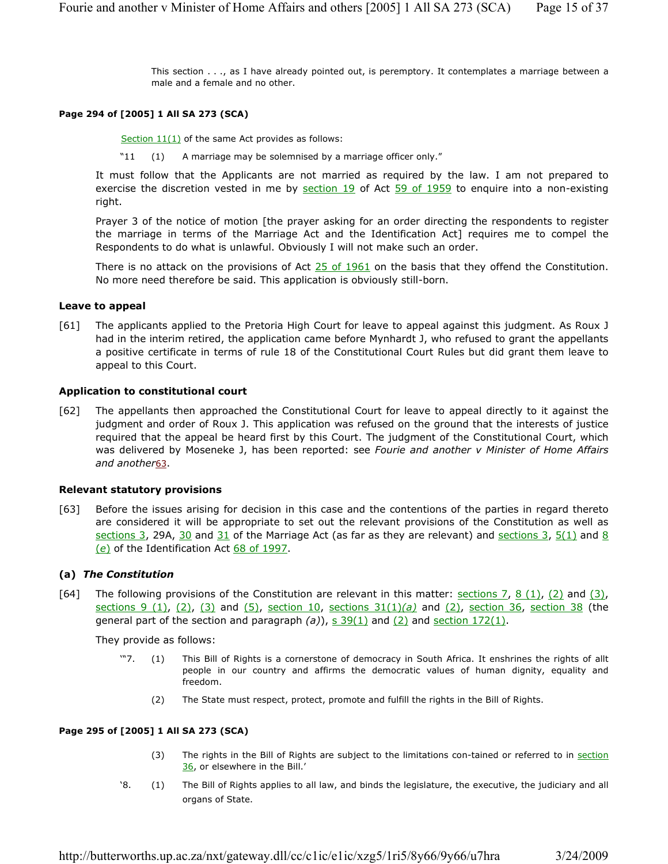This section . . ., as I have already pointed out, is peremptory. It contemplates a marriage between a male and a female and no other.

#### **Page 294 of [2005] 1 All SA 273 (SCA)**

Section 11(1) of the same Act provides as follows:

"11 (1) A marriage may be solemnised by a marriage officer only."

It must follow that the Applicants are not married as required by the law. I am not prepared to exercise the discretion vested in me by section 19 of Act 59 of 1959 to enquire into a non-existing right.

Prayer 3 of the notice of motion [the prayer asking for an order directing the respondents to register the marriage in terms of the Marriage Act and the Identification Act] requires me to compel the Respondents to do what is unlawful. Obviously I will not make such an order.

There is no attack on the provisions of Act 25 of 1961 on the basis that they offend the Constitution. No more need therefore be said. This application is obviously still-born.

#### **Leave to appeal**

[61] The applicants applied to the Pretoria High Court for leave to appeal against this judgment. As Roux J had in the interim retired, the application came before Mynhardt J, who refused to grant the appellants a positive certificate in terms of rule 18 of the Constitutional Court Rules but did grant them leave to appeal to this Court.

### **Application to constitutional court**

[62] The appellants then approached the Constitutional Court for leave to appeal directly to it against the judgment and order of Roux J. This application was refused on the ground that the interests of justice required that the appeal be heard first by this Court. The judgment of the Constitutional Court, which was delivered by Moseneke J, has been reported: see *Fourie and another v Minister of Home Affairs and another*63.

### **Relevant statutory provisions**

[63] Before the issues arising for decision in this case and the contentions of the parties in regard thereto are considered it will be appropriate to set out the relevant provisions of the Constitution as well as sections 3, 29A, 30 and 31 of the Marriage Act (as far as they are relevant) and sections 3,  $5(1)$  and 8 (*e*) of the Identification Act 68 of 1997.

### **(a)** *The Constitution*

[64] The following provisions of the Constitution are relevant in this matter: sections 7, 8 (1), (2) and (3), sections 9 (1), (2), (3) and (5), section 10, sections 31(1)*(a)* and (2), section 36, section 38 (the general part of the section and paragraph  $(a)$ ),  $s$  39(1) and  $(2)$  and section 172(1).

They provide as follows:

- '"7. (1) This Bill of Rights is a cornerstone of democracy in South Africa. It enshrines the rights of allt people in our country and affirms the democratic values of human dignity, equality and freedom.
	- (2) The State must respect, protect, promote and fulfill the rights in the Bill of Rights.

#### **Page 295 of [2005] 1 All SA 273 (SCA)**

- (3) The rights in the Bill of Rights are subject to the limitations con-tained or referred to in section 36, or elsewhere in the Bill.'
- '8. (1) organs of State. The Bill of Rights applies to all law, and binds the legislature, the executive, the judiciary and all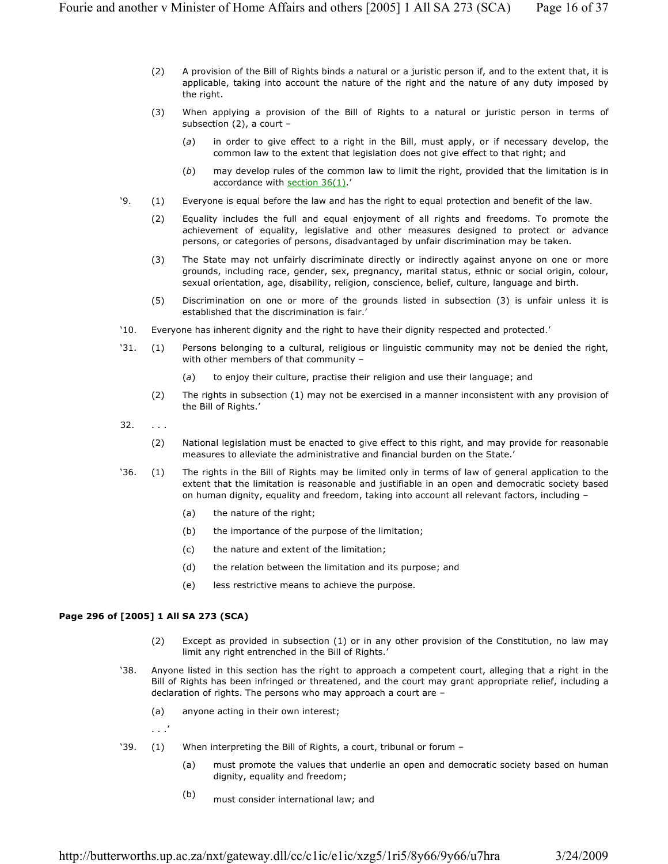- (2) A provision of the Bill of Rights binds a natural or a juristic person if, and to the extent that, it is applicable, taking into account the nature of the right and the nature of any duty imposed by the right.
- (3) When applying a provision of the Bill of Rights to a natural or juristic person in terms of subsection (2), a court –
	- (*a*) in order to give effect to a right in the Bill, must apply, or if necessary develop, the common law to the extent that legislation does not give effect to that right; and
	- (*b*) may develop rules of the common law to limit the right, provided that the limitation is in accordance with section 36(1).
- '9. (1) Everyone is equal before the law and has the right to equal protection and benefit of the law.
	- (2) Equality includes the full and equal enjoyment of all rights and freedoms. To promote the achievement of equality, legislative and other measures designed to protect or advance persons, or categories of persons, disadvantaged by unfair discrimination may be taken.
	- (3) The State may not unfairly discriminate directly or indirectly against anyone on one or more grounds, including race, gender, sex, pregnancy, marital status, ethnic or social origin, colour, sexual orientation, age, disability, religion, conscience, belief, culture, language and birth.
	- (5) Discrimination on one or more of the grounds listed in subsection (3) is unfair unless it is established that the discrimination is fair.'
- '10. Everyone has inherent dignity and the right to have their dignity respected and protected.'
- '31. (1) Persons belonging to a cultural, religious or linguistic community may not be denied the right, with other members of that community –
	- (*a*) to enjoy their culture, practise their religion and use their language; and
	- (2) The rights in subsection (1) may not be exercised in a manner inconsistent with any provision of the Bill of Rights.'
- 32. . . .
	- (2) National legislation must be enacted to give effect to this right, and may provide for reasonable measures to alleviate the administrative and financial burden on the State.'
- '36. (1) The rights in the Bill of Rights may be limited only in terms of law of general application to the extent that the limitation is reasonable and justifiable in an open and democratic society based on human dignity, equality and freedom, taking into account all relevant factors, including –
	- (a) the nature of the right;
	- (b) the importance of the purpose of the limitation;
	- (c) the nature and extent of the limitation;
	- (d) the relation between the limitation and its purpose; and
	- (e) less restrictive means to achieve the purpose.

### **Page 296 of [2005] 1 All SA 273 (SCA)**

- (2) Except as provided in subsection (1) or in any other provision of the Constitution, no law may limit any right entrenched in the Bill of Rights.'
- '38. Anyone listed in this section has the right to approach a competent court, alleging that a right in the Bill of Rights has been infringed or threatened, and the court may grant appropriate relief, including a declaration of rights. The persons who may approach a court are –
	- (a) anyone acting in their own interest;

. . .'

- '39. (1) When interpreting the Bill of Rights, a court, tribunal or forum –
	- (a) must promote the values that underlie an open and democratic society based on human dignity, equality and freedom;
	- (b) must consider international law; and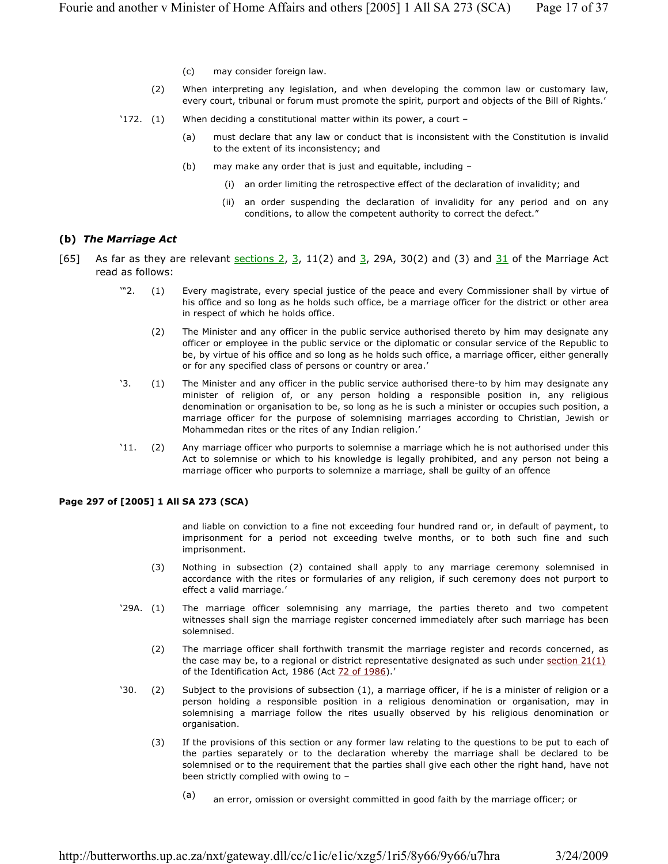- (c) may consider foreign law.
- (2) When interpreting any legislation, and when developing the common law or customary law, every court, tribunal or forum must promote the spirit, purport and objects of the Bill of Rights.'
- $'172.$  (1) When deciding a constitutional matter within its power, a court –
	- (a) must declare that any law or conduct that is inconsistent with the Constitution is invalid to the extent of its inconsistency; and
	- (b) may make any order that is just and equitable, including –
		- (i) an order limiting the retrospective effect of the declaration of invalidity; and
		- (ii) an order suspending the declaration of invalidity for any period and on any conditions, to allow the competent authority to correct the defect."

## **(b)** *The Marriage Act*

- [65] As far as they are relevant sections 2, 3, 11(2) and 3, 29A, 30(2) and (3) and  $31$  of the Marriage Act read as follows:
	- '"2. (1) Every magistrate, every special justice of the peace and every Commissioner shall by virtue of his office and so long as he holds such office, be a marriage officer for the district or other area in respect of which he holds office.
		- (2) The Minister and any officer in the public service authorised thereto by him may designate any officer or employee in the public service or the diplomatic or consular service of the Republic to be, by virtue of his office and so long as he holds such office, a marriage officer, either generally or for any specified class of persons or country or area.'
	- '3. (1) The Minister and any officer in the public service authorised there-to by him may designate any minister of religion of, or any person holding a responsible position in, any religious denomination or organisation to be, so long as he is such a minister or occupies such position, a marriage officer for the purpose of solemnising marriages according to Christian, Jewish or Mohammedan rites or the rites of any Indian religion.'
	- '11. (2) Any marriage officer who purports to solemnise a marriage which he is not authorised under this Act to solemnise or which to his knowledge is legally prohibited, and any person not being a marriage officer who purports to solemnize a marriage, shall be guilty of an offence

#### **Page 297 of [2005] 1 All SA 273 (SCA)**

and liable on conviction to a fine not exceeding four hundred rand or, in default of payment, to imprisonment for a period not exceeding twelve months, or to both such fine and such imprisonment.

- (3) Nothing in subsection (2) contained shall apply to any marriage ceremony solemnised in accordance with the rites or formularies of any religion, if such ceremony does not purport to effect a valid marriage.'
- $'29A.$  (1) The marriage officer solemnising any marriage, the parties thereto and two competent witnesses shall sign the marriage register concerned immediately after such marriage has been solemnised.
	- (2) The marriage officer shall forthwith transmit the marriage register and records concerned, as the case may be, to a regional or district representative designated as such under section  $21(1)$ of the Identification Act, 1986 (Act 72 of 1986).'
- '30. (2) Subject to the provisions of subsection (1), a marriage officer, if he is a minister of religion or a person holding a responsible position in a religious denomination or organisation, may in solemnising a marriage follow the rites usually observed by his religious denomination or organisation.
	- (3) If the provisions of this section or any former law relating to the questions to be put to each of the parties separately or to the declaration whereby the marriage shall be declared to be solemnised or to the requirement that the parties shall give each other the right hand, have not been strictly complied with owing to –
		- (a) an error, omission or oversight committed in good faith by the marriage officer; or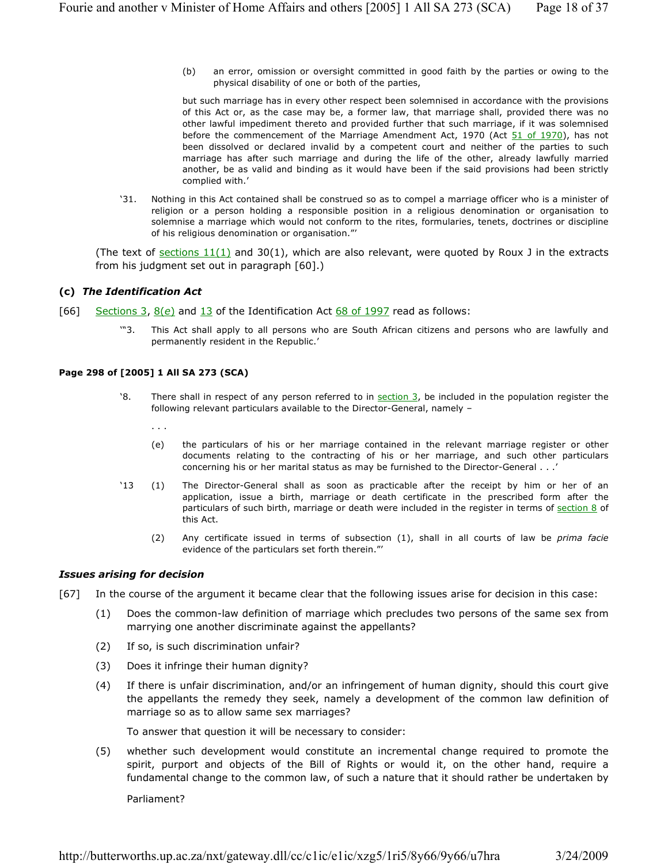(b) an error, omission or oversight committed in good faith by the parties or owing to the physical disability of one or both of the parties,

but such marriage has in every other respect been solemnised in accordance with the provisions of this Act or, as the case may be, a former law, that marriage shall, provided there was no other lawful impediment thereto and provided further that such marriage, if it was solemnised before the commencement of the Marriage Amendment Act, 1970 (Act 51 of 1970), has not been dissolved or declared invalid by a competent court and neither of the parties to such marriage has after such marriage and during the life of the other, already lawfully married another, be as valid and binding as it would have been if the said provisions had been strictly complied with.'

'31. Nothing in this Act contained shall be construed so as to compel a marriage officer who is a minister of religion or a person holding a responsible position in a religious denomination or organisation to solemnise a marriage which would not conform to the rites, formularies, tenets, doctrines or discipline of his religious denomination or organisation."'

(The text of sections  $11(1)$  and  $30(1)$ , which are also relevant, were quoted by Roux J in the extracts from his judgment set out in paragraph [60].)

## **(c)** *The Identification Act*

- [66] Sections 3, 8(e) and 13 of the Identification Act 68 of 1997 read as follows:
	- '"3. This Act shall apply to all persons who are South African citizens and persons who are lawfully and permanently resident in the Republic.'

#### **Page 298 of [2005] 1 All SA 273 (SCA)**

'8. There shall in respect of any person referred to in  $section 3$ , be included in the population register the following relevant particulars available to the Director-General, namely –

. . .

- (e) the particulars of his or her marriage contained in the relevant marriage register or other documents relating to the contracting of his or her marriage, and such other particulars concerning his or her marital status as may be furnished to the Director-General . . .'
- $'13$ (1) The Director-General shall as soon as practicable after the receipt by him or her of an application, issue a birth, marriage or death certificate in the prescribed form after the particulars of such birth, marriage or death were included in the register in terms of section 8 of this Act.
	- (2) Any certificate issued in terms of subsection (1), shall in all courts of law be *prima facie*  evidence of the particulars set forth therein."'

### *Issues arising for decision*

- [67] In the course of the argument it became clear that the following issues arise for decision in this case:
	- (1) Does the common-law definition of marriage which precludes two persons of the same sex from marrying one another discriminate against the appellants?
	- (2) If so, is such discrimination unfair?
	- (3) Does it infringe their human dignity?
	- (4) If there is unfair discrimination, and/or an infringement of human dignity, should this court give the appellants the remedy they seek, namely a development of the common law definition of marriage so as to allow same sex marriages?

To answer that question it will be necessary to consider:

(5) whether such development would constitute an incremental change required to promote the spirit, purport and objects of the Bill of Rights or would it, on the other hand, require a fundamental change to the common law, of such a nature that it should rather be undertaken by

Parliament?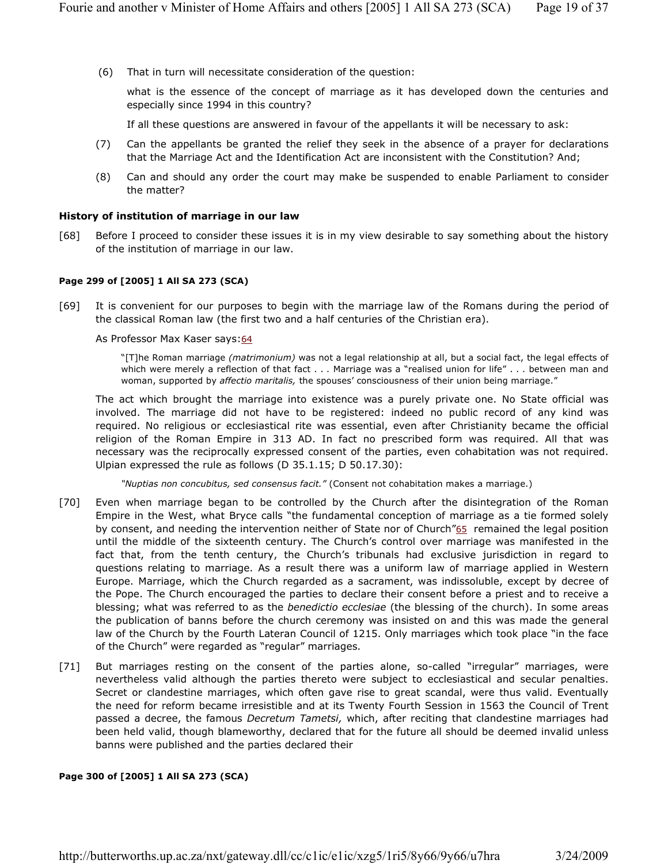(6) That in turn will necessitate consideration of the question:

what is the essence of the concept of marriage as it has developed down the centuries and especially since 1994 in this country?

If all these questions are answered in favour of the appellants it will be necessary to ask:

- (7) Can the appellants be granted the relief they seek in the absence of a prayer for declarations that the Marriage Act and the Identification Act are inconsistent with the Constitution? And;
- (8) Can and should any order the court may make be suspended to enable Parliament to consider the matter?

### **History of institution of marriage in our law**

[68] Before I proceed to consider these issues it is in my view desirable to say something about the history of the institution of marriage in our law.

### **Page 299 of [2005] 1 All SA 273 (SCA)**

[69] It is convenient for our purposes to begin with the marriage law of the Romans during the period of the classical Roman law (the first two and a half centuries of the Christian era).

### As Professor Max Kaser says:64

"[T]he Roman marriage *(matrimonium)* was not a legal relationship at all, but a social fact, the legal effects of which were merely a reflection of that fact . . . Marriage was a "realised union for life" . . . between man and woman, supported by *affectio maritalis,* the spouses' consciousness of their union being marriage."

The act which brought the marriage into existence was a purely private one. No State official was involved. The marriage did not have to be registered: indeed no public record of any kind was required. No religious or ecclesiastical rite was essential, even after Christianity became the official religion of the Roman Empire in 313 AD. In fact no prescribed form was required. All that was necessary was the reciprocally expressed consent of the parties, even cohabitation was not required. Ulpian expressed the rule as follows (D 35.1.15; D 50.17.30):

*"Nuptias non concubitus, sed consensus facit."* (Consent not cohabitation makes a marriage.)

- [70] Even when marriage began to be controlled by the Church after the disintegration of the Roman Empire in the West, what Bryce calls "the fundamental conception of marriage as a tie formed solely by consent, and needing the intervention neither of State nor of Church"65 remained the legal position until the middle of the sixteenth century. The Church's control over marriage was manifested in the fact that, from the tenth century, the Church's tribunals had exclusive jurisdiction in regard to questions relating to marriage. As a result there was a uniform law of marriage applied in Western Europe. Marriage, which the Church regarded as a sacrament, was indissoluble, except by decree of the Pope. The Church encouraged the parties to declare their consent before a priest and to receive a blessing; what was referred to as the *benedictio ecclesiae* (the blessing of the church). In some areas the publication of banns before the church ceremony was insisted on and this was made the general law of the Church by the Fourth Lateran Council of 1215. Only marriages which took place "in the face of the Church" were regarded as "regular" marriages.
- [71] But marriages resting on the consent of the parties alone, so-called "irregular" marriages, were nevertheless valid although the parties thereto were subject to ecclesiastical and secular penalties. Secret or clandestine marriages, which often gave rise to great scandal, were thus valid. Eventually the need for reform became irresistible and at its Twenty Fourth Session in 1563 the Council of Trent passed a decree, the famous *Decretum Tametsi,* which, after reciting that clandestine marriages had been held valid, though blameworthy, declared that for the future all should be deemed invalid unless banns were published and the parties declared their

### **Page 300 of [2005] 1 All SA 273 (SCA)**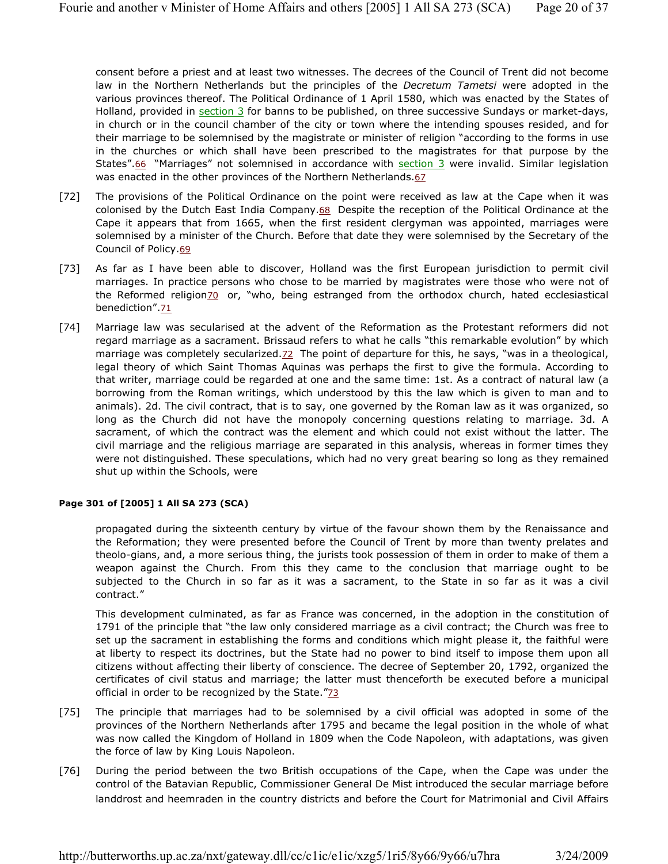consent before a priest and at least two witnesses. The decrees of the Council of Trent did not become law in the Northern Netherlands but the principles of the *Decretum Tametsi* were adopted in the various provinces thereof. The Political Ordinance of 1 April 1580, which was enacted by the States of Holland, provided in section 3 for banns to be published, on three successive Sundays or market-days, in church or in the council chamber of the city or town where the intending spouses resided, and for their marriage to be solemnised by the magistrate or minister of religion "according to the forms in use in the churches or which shall have been prescribed to the magistrates for that purpose by the States".66 "Marriages" not solemnised in accordance with section 3 were invalid. Similar legislation was enacted in the other provinces of the Northern Netherlands.67

- [72] The provisions of the Political Ordinance on the point were received as law at the Cape when it was colonised by the Dutch East India Company.68 Despite the reception of the Political Ordinance at the Cape it appears that from 1665, when the first resident clergyman was appointed, marriages were solemnised by a minister of the Church. Before that date they were solemnised by the Secretary of the Council of Policy.69
- [73] As far as I have been able to discover, Holland was the first European jurisdiction to permit civil marriages. In practice persons who chose to be married by magistrates were those who were not of the Reformed religion70 or, "who, being estranged from the orthodox church, hated ecclesiastical benediction".71
- [74] Marriage law was secularised at the advent of the Reformation as the Protestant reformers did not regard marriage as a sacrament. Brissaud refers to what he calls "this remarkable evolution" by which marriage was completely secularized. 72 The point of departure for this, he says, "was in a theological, legal theory of which Saint Thomas Aquinas was perhaps the first to give the formula. According to that writer, marriage could be regarded at one and the same time: 1st. As a contract of natural law (a borrowing from the Roman writings, which understood by this the law which is given to man and to animals). 2d. The civil contract, that is to say, one governed by the Roman law as it was organized, so long as the Church did not have the monopoly concerning questions relating to marriage. 3d. A sacrament, of which the contract was the element and which could not exist without the latter. The civil marriage and the religious marriage are separated in this analysis, whereas in former times they were not distinguished. These speculations, which had no very great bearing so long as they remained shut up within the Schools, were

# **Page 301 of [2005] 1 All SA 273 (SCA)**

propagated during the sixteenth century by virtue of the favour shown them by the Renaissance and the Reformation; they were presented before the Council of Trent by more than twenty prelates and theolo-gians, and, a more serious thing, the jurists took possession of them in order to make of them a weapon against the Church. From this they came to the conclusion that marriage ought to be subjected to the Church in so far as it was a sacrament, to the State in so far as it was a civil contract."

This development culminated, as far as France was concerned, in the adoption in the constitution of 1791 of the principle that "the law only considered marriage as a civil contract; the Church was free to set up the sacrament in establishing the forms and conditions which might please it, the faithful were at liberty to respect its doctrines, but the State had no power to bind itself to impose them upon all citizens without affecting their liberty of conscience. The decree of September 20, 1792, organized the certificates of civil status and marriage; the latter must thenceforth be executed before a municipal official in order to be recognized by the State."73

- [75] The principle that marriages had to be solemnised by a civil official was adopted in some of the provinces of the Northern Netherlands after 1795 and became the legal position in the whole of what was now called the Kingdom of Holland in 1809 when the Code Napoleon, with adaptations, was given the force of law by King Louis Napoleon.
- [76] During the period between the two British occupations of the Cape, when the Cape was under the control of the Batavian Republic, Commissioner General De Mist introduced the secular marriage before landdrost and heemraden in the country districts and before the Court for Matrimonial and Civil Affairs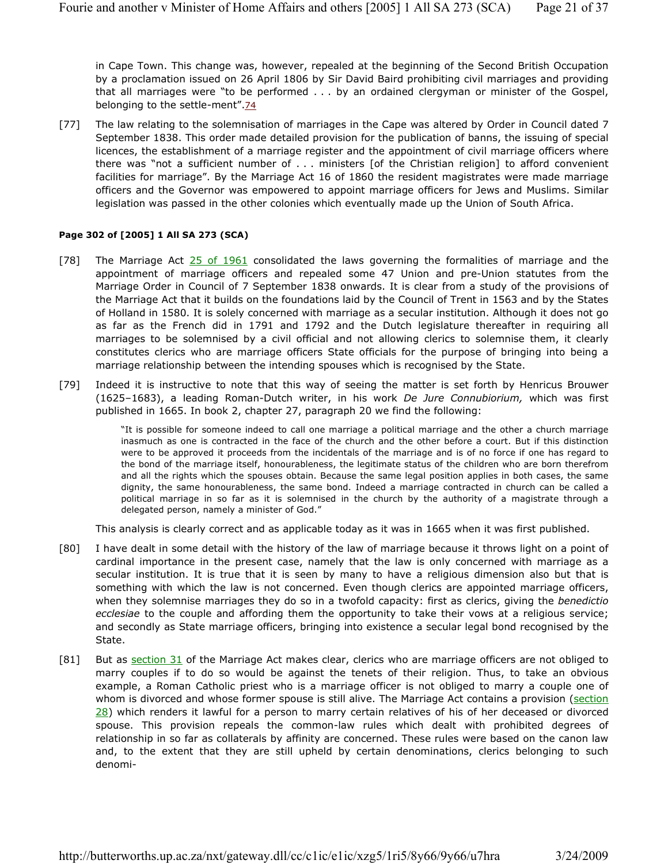in Cape Town. This change was, however, repealed at the beginning of the Second British Occupation by a proclamation issued on 26 April 1806 by Sir David Baird prohibiting civil marriages and providing that all marriages were "to be performed . . . by an ordained clergyman or minister of the Gospel, belonging to the settle-ment".74

[77] The law relating to the solemnisation of marriages in the Cape was altered by Order in Council dated 7 September 1838. This order made detailed provision for the publication of banns, the issuing of special licences, the establishment of a marriage register and the appointment of civil marriage officers where there was "not a sufficient number of . . . ministers [of the Christian religion] to afford convenient facilities for marriage". By the Marriage Act 16 of 1860 the resident magistrates were made marriage officers and the Governor was empowered to appoint marriage officers for Jews and Muslims. Similar legislation was passed in the other colonies which eventually made up the Union of South Africa.

## **Page 302 of [2005] 1 All SA 273 (SCA)**

- [78] The Marriage Act 25 of 1961 consolidated the laws governing the formalities of marriage and the appointment of marriage officers and repealed some 47 Union and pre-Union statutes from the Marriage Order in Council of 7 September 1838 onwards. It is clear from a study of the provisions of the Marriage Act that it builds on the foundations laid by the Council of Trent in 1563 and by the States of Holland in 1580. It is solely concerned with marriage as a secular institution. Although it does not go as far as the French did in 1791 and 1792 and the Dutch legislature thereafter in requiring all marriages to be solemnised by a civil official and not allowing clerics to solemnise them, it clearly constitutes clerics who are marriage officers State officials for the purpose of bringing into being a marriage relationship between the intending spouses which is recognised by the State.
- [79] Indeed it is instructive to note that this way of seeing the matter is set forth by Henricus Brouwer (1625–1683), a leading Roman-Dutch writer, in his work *De Jure Connubiorium,* which was first published in 1665. In book 2, chapter 27, paragraph 20 we find the following:

"It is possible for someone indeed to call one marriage a political marriage and the other a church marriage inasmuch as one is contracted in the face of the church and the other before a court. But if this distinction were to be approved it proceeds from the incidentals of the marriage and is of no force if one has regard to the bond of the marriage itself, honourableness, the legitimate status of the children who are born therefrom and all the rights which the spouses obtain. Because the same legal position applies in both cases, the same dignity, the same honourableness, the same bond. Indeed a marriage contracted in church can be called a political marriage in so far as it is solemnised in the church by the authority of a magistrate through a delegated person, namely a minister of God."

This analysis is clearly correct and as applicable today as it was in 1665 when it was first published.

- [80] I have dealt in some detail with the history of the law of marriage because it throws light on a point of cardinal importance in the present case, namely that the law is only concerned with marriage as a secular institution. It is true that it is seen by many to have a religious dimension also but that is something with which the law is not concerned. Even though clerics are appointed marriage officers, when they solemnise marriages they do so in a twofold capacity: first as clerics, giving the *benedictio ecclesiae* to the couple and affording them the opportunity to take their vows at a religious service; and secondly as State marriage officers, bringing into existence a secular legal bond recognised by the State.
- [81] But as section 31 of the Marriage Act makes clear, clerics who are marriage officers are not obliged to marry couples if to do so would be against the tenets of their religion. Thus, to take an obvious example, a Roman Catholic priest who is a marriage officer is not obliged to marry a couple one of whom is divorced and whose former spouse is still alive. The Marriage Act contains a provision (section 28) which renders it lawful for a person to marry certain relatives of his of her deceased or divorced spouse. This provision repeals the common-law rules which dealt with prohibited degrees of relationship in so far as collaterals by affinity are concerned. These rules were based on the canon law and, to the extent that they are still upheld by certain denominations, clerics belonging to such denomi-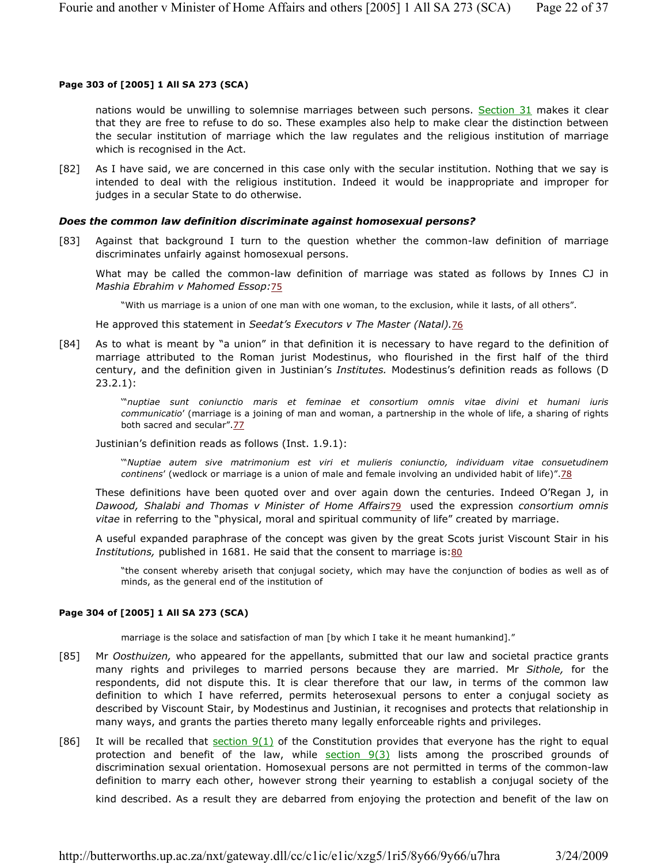## **Page 303 of [2005] 1 All SA 273 (SCA)**

nations would be unwilling to solemnise marriages between such persons. Section 31 makes it clear that they are free to refuse to do so. These examples also help to make clear the distinction between the secular institution of marriage which the law regulates and the religious institution of marriage which is recognised in the Act.

[82] As I have said, we are concerned in this case only with the secular institution. Nothing that we say is intended to deal with the religious institution. Indeed it would be inappropriate and improper for judges in a secular State to do otherwise.

### *Does the common law definition discriminate against homosexual persons?*

[83] Against that background I turn to the question whether the common-law definition of marriage discriminates unfairly against homosexual persons.

What may be called the common-law definition of marriage was stated as follows by Innes CJ in *Mashia Ebrahim v Mahomed Essop:*75

"With us marriage is a union of one man with one woman, to the exclusion, while it lasts, of all others".

He approved this statement in *Seedat's Executors v The Master (Natal).*76

[84] As to what is meant by "a union" in that definition it is necessary to have regard to the definition of marriage attributed to the Roman jurist Modestinus, who flourished in the first half of the third century, and the definition given in Justinian's *Institutes.* Modestinus's definition reads as follows (D 23.2.1):

> '"*nuptiae sunt coniunctio maris et feminae et consortium omnis vitae divini et humani iuris communicatio*' (marriage is a joining of man and woman, a partnership in the whole of life, a sharing of rights both sacred and secular".77

Justinian's definition reads as follows (Inst. 1.9.1):

'"*Nuptiae autem sive matrimonium est viri et mulieris coniunctio, individuam vitae consuetudinem continens*' (wedlock or marriage is a union of male and female involving an undivided habit of life)".78

These definitions have been quoted over and over again down the centuries. Indeed O'Regan J, in *Dawood, Shalabi and Thomas v Minister of Home Affairs*79 used the expression *consortium omnis vitae* in referring to the "physical, moral and spiritual community of life" created by marriage.

A useful expanded paraphrase of the concept was given by the great Scots jurist Viscount Stair in his *Institutions,* published in 1681. He said that the consent to marriage is: 80

"the consent whereby ariseth that conjugal society, which may have the conjunction of bodies as well as of minds, as the general end of the institution of

#### **Page 304 of [2005] 1 All SA 273 (SCA)**

marriage is the solace and satisfaction of man [by which I take it he meant humankind]."

- [85] Mr *Oosthuizen,* who appeared for the appellants, submitted that our law and societal practice grants many rights and privileges to married persons because they are married. Mr *Sithole,* for the respondents, did not dispute this. It is clear therefore that our law, in terms of the common law definition to which I have referred, permits heterosexual persons to enter a conjugal society as described by Viscount Stair, by Modestinus and Justinian, it recognises and protects that relationship in many ways, and grants the parties thereto many legally enforceable rights and privileges.
- [86] It will be recalled that  $section 9(1)$  of the Constitution provides that everyone has the right to equal protection and benefit of the law, while  $section 9(3)$  lists among the proscribed grounds of discrimination sexual orientation. Homosexual persons are not permitted in terms of the common-law definition to marry each other, however strong their yearning to establish a conjugal society of the kind described. As a result they are debarred from enjoying the protection and benefit of the law on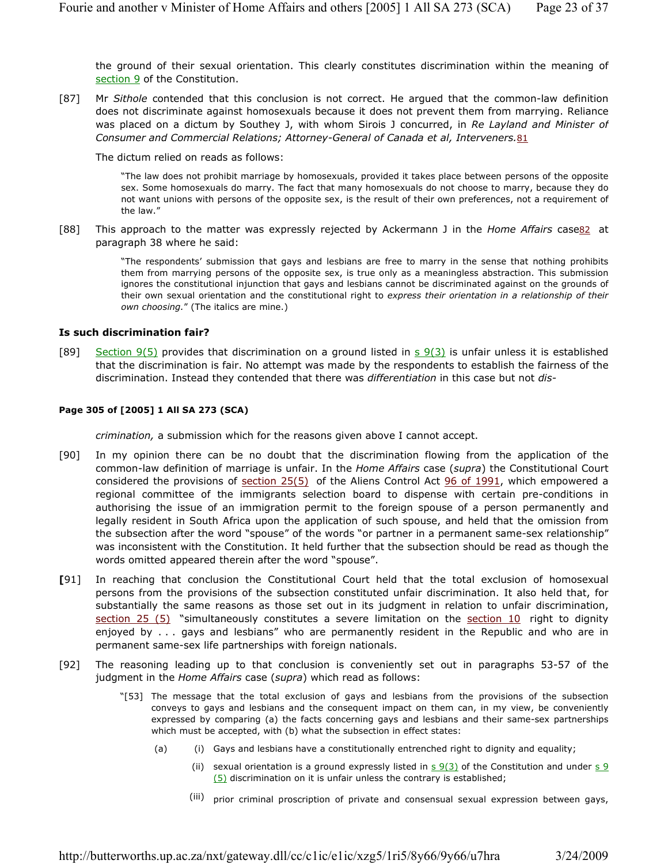the ground of their sexual orientation. This clearly constitutes discrimination within the meaning of section 9 of the Constitution.

[87] Mr *Sithole* contended that this conclusion is not correct. He argued that the common-law definition does not discriminate against homosexuals because it does not prevent them from marrying. Reliance was placed on a dictum by Southey J, with whom Sirois J concurred, in *Re Layland and Minister of Consumer and Commercial Relations; Attorney-General of Canada et al, Interveners.*81

The dictum relied on reads as follows:

"The law does not prohibit marriage by homosexuals, provided it takes place between persons of the opposite sex. Some homosexuals do marry. The fact that many homosexuals do not choose to marry, because they do not want unions with persons of the opposite sex, is the result of their own preferences, not a requirement of the law."

[88] This approach to the matter was expressly rejected by Ackermann J in the *Home Affairs* case82 at paragraph 38 where he said:

> "The respondents' submission that gays and lesbians are free to marry in the sense that nothing prohibits them from marrying persons of the opposite sex, is true only as a meaningless abstraction. This submission ignores the constitutional injunction that gays and lesbians cannot be discriminated against on the grounds of their own sexual orientation and the constitutional right to *express their orientation in a relationship of their own choosing.*" (The italics are mine.)

## **Is such discrimination fair?**

[89] Section  $9(5)$  provides that discrimination on a ground listed in s  $9(3)$  is unfair unless it is established that the discrimination is fair. No attempt was made by the respondents to establish the fairness of the discrimination. Instead they contended that there was *differentiation* in this case but not *dis-*

## **Page 305 of [2005] 1 All SA 273 (SCA)**

*crimination,* a submission which for the reasons given above I cannot accept.

- [90] In my opinion there can be no doubt that the discrimination flowing from the application of the common-law definition of marriage is unfair. In the *Home Affairs* case (*supra*) the Constitutional Court considered the provisions of section 25(5) of the Aliens Control Act 96 of 1991, which empowered a regional committee of the immigrants selection board to dispense with certain pre-conditions in authorising the issue of an immigration permit to the foreign spouse of a person permanently and legally resident in South Africa upon the application of such spouse, and held that the omission from the subsection after the word "spouse" of the words "or partner in a permanent same-sex relationship" was inconsistent with the Constitution. It held further that the subsection should be read as though the words omitted appeared therein after the word "spouse".
- **[**91] In reaching that conclusion the Constitutional Court held that the total exclusion of homosexual persons from the provisions of the subsection constituted unfair discrimination. It also held that, for substantially the same reasons as those set out in its judgment in relation to unfair discrimination, section  $25$  (5) "simultaneously constitutes a severe limitation on the section 10 right to dignity enjoyed by . . . gays and lesbians" who are permanently resident in the Republic and who are in permanent same-sex life partnerships with foreign nationals.
- [92] The reasoning leading up to that conclusion is conveniently set out in paragraphs 53-57 of the judgment in the *Home Affairs* case (*supra*) which read as follows:
	- "[53] The message that the total exclusion of gays and lesbians from the provisions of the subsection conveys to gays and lesbians and the consequent impact on them can, in my view, be conveniently expressed by comparing (a) the facts concerning gays and lesbians and their same-sex partnerships which must be accepted, with (b) what the subsection in effect states:
		- (a) (i) Gays and lesbians have a constitutionally entrenched right to dignity and equality;
			- (ii) sexual orientation is a ground expressly listed in  $\frac{9(3)}{3}$  of the Constitution and under s 9  $(5)$  discrimination on it is unfair unless the contrary is established;
			- (iii) prior criminal proscription of private and consensual sexual expression between gays,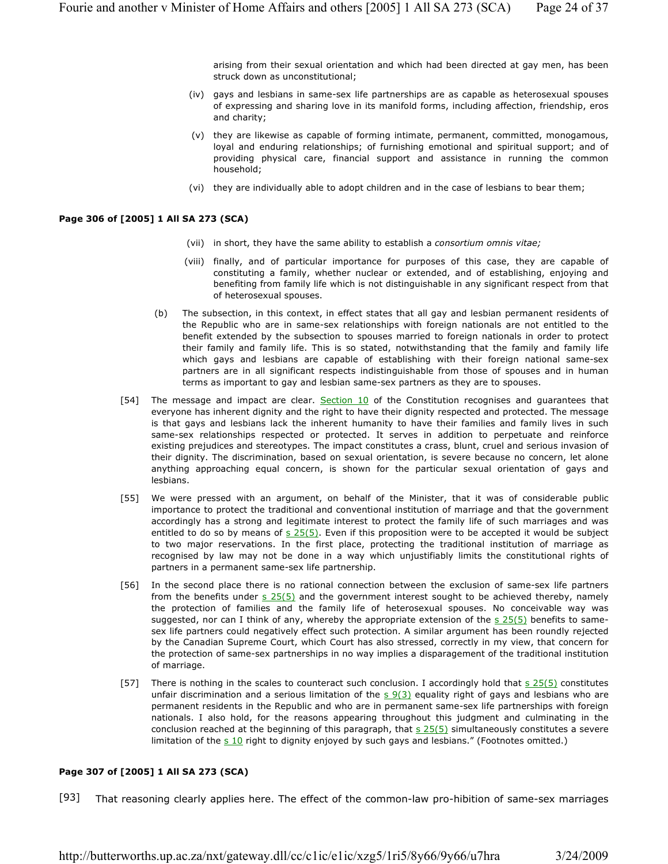arising from their sexual orientation and which had been directed at gay men, has been struck down as unconstitutional;

- (iv) gays and lesbians in same-sex life partnerships are as capable as heterosexual spouses of expressing and sharing love in its manifold forms, including affection, friendship, eros and charity;
- (v) they are likewise as capable of forming intimate, permanent, committed, monogamous, loyal and enduring relationships; of furnishing emotional and spiritual support; and of providing physical care, financial support and assistance in running the common household;
- (vi) they are individually able to adopt children and in the case of lesbians to bear them;

#### **Page 306 of [2005] 1 All SA 273 (SCA)**

- (vii) in short, they have the same ability to establish a *consortium omnis vitae;*
- (viii) finally, and of particular importance for purposes of this case, they are capable of constituting a family, whether nuclear or extended, and of establishing, enjoying and benefiting from family life which is not distinguishable in any significant respect from that of heterosexual spouses.
- (b) The subsection, in this context, in effect states that all gay and lesbian permanent residents of the Republic who are in same-sex relationships with foreign nationals are not entitled to the benefit extended by the subsection to spouses married to foreign nationals in order to protect their family and family life. This is so stated, notwithstanding that the family and family life which gays and lesbians are capable of establishing with their foreign national same-sex partners are in all significant respects indistinguishable from those of spouses and in human terms as important to gay and lesbian same-sex partners as they are to spouses.
- [54] The message and impact are clear. Section 10 of the Constitution recognises and guarantees that everyone has inherent dignity and the right to have their dignity respected and protected. The message is that gays and lesbians lack the inherent humanity to have their families and family lives in such same-sex relationships respected or protected. It serves in addition to perpetuate and reinforce existing prejudices and stereotypes. The impact constitutes a crass, blunt, cruel and serious invasion of their dignity. The discrimination, based on sexual orientation, is severe because no concern, let alone anything approaching equal concern, is shown for the particular sexual orientation of gays and lesbians.
- [55] We were pressed with an argument, on behalf of the Minister, that it was of considerable public importance to protect the traditional and conventional institution of marriage and that the government accordingly has a strong and legitimate interest to protect the family life of such marriages and was entitled to do so by means of s 25(5). Even if this proposition were to be accepted it would be subject to two major reservations. In the first place, protecting the traditional institution of marriage as recognised by law may not be done in a way which unjustifiably limits the constitutional rights of partners in a permanent same-sex life partnership.
- [56] In the second place there is no rational connection between the exclusion of same-sex life partners from the benefits under  $s$  25(5) and the government interest sought to be achieved thereby, namely the protection of families and the family life of heterosexual spouses. No conceivable way was suggested, nor can I think of any, whereby the appropriate extension of the  $s$  25(5) benefits to samesex life partners could negatively effect such protection. A similar argument has been roundly rejected by the Canadian Supreme Court, which Court has also stressed, correctly in my view, that concern for the protection of same-sex partnerships in no way implies a disparagement of the traditional institution of marriage.
- [57] There is nothing in the scales to counteract such conclusion. I accordingly hold that s 25(5) constitutes unfair discrimination and a serious limitation of the  $\frac{1}{5}$  equality right of gays and lesbians who are permanent residents in the Republic and who are in permanent same-sex life partnerships with foreign nationals. I also hold, for the reasons appearing throughout this judgment and culminating in the conclusion reached at the beginning of this paragraph, that  $s$  25(5) simultaneously constitutes a severe limitation of the  $\frac{10}{2}$  right to dignity enjoyed by such gays and lesbians." (Footnotes omitted.)

#### **Page 307 of [2005] 1 All SA 273 (SCA)**

[93] That reasoning clearly applies here. The effect of the common-law pro-hibition of same-sex marriages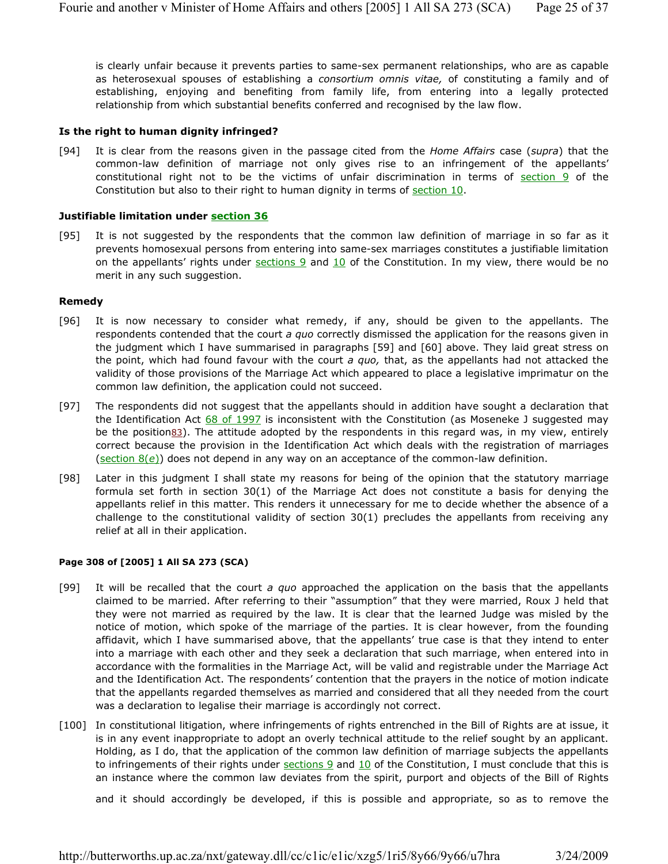is clearly unfair because it prevents parties to same-sex permanent relationships, who are as capable as heterosexual spouses of establishing a *consortium omnis vitae,* of constituting a family and of establishing, enjoying and benefiting from family life, from entering into a legally protected relationship from which substantial benefits conferred and recognised by the law flow.

## **Is the right to human dignity infringed?**

[94] It is clear from the reasons given in the passage cited from the *Home Affairs* case (*supra*) that the common-law definition of marriage not only gives rise to an infringement of the appellants' constitutional right not to be the victims of unfair discrimination in terms of section 9 of the Constitution but also to their right to human dignity in terms of section 10.

## **Justifiable limitation under section 36**

[95] It is not suggested by the respondents that the common law definition of marriage in so far as it prevents homosexual persons from entering into same-sex marriages constitutes a justifiable limitation on the appellants' rights under sections  $9$  and  $10$  of the Constitution. In my view, there would be no merit in any such suggestion.

## **Remedy**

- [96] It is now necessary to consider what remedy, if any, should be given to the appellants. The respondents contended that the court *a quo* correctly dismissed the application for the reasons given in the judgment which I have summarised in paragraphs [59] and [60] above. They laid great stress on the point, which had found favour with the court *a quo,* that, as the appellants had not attacked the validity of those provisions of the Marriage Act which appeared to place a legislative imprimatur on the common law definition, the application could not succeed.
- [97] The respondents did not suggest that the appellants should in addition have sought a declaration that the Identification Act 68 of 1997 is inconsistent with the Constitution (as Moseneke J suggested may be the position83). The attitude adopted by the respondents in this regard was, in my view, entirely correct because the provision in the Identification Act which deals with the registration of marriages (section 8(*e*)) does not depend in any way on an acceptance of the common-law definition.
- [98] Later in this judgment I shall state my reasons for being of the opinion that the statutory marriage formula set forth in section 30(1) of the Marriage Act does not constitute a basis for denying the appellants relief in this matter. This renders it unnecessary for me to decide whether the absence of a challenge to the constitutional validity of section 30(1) precludes the appellants from receiving any relief at all in their application.

### **Page 308 of [2005] 1 All SA 273 (SCA)**

- [99] It will be recalled that the court *a quo* approached the application on the basis that the appellants claimed to be married. After referring to their "assumption" that they were married, Roux J held that they were not married as required by the law. It is clear that the learned Judge was misled by the notice of motion, which spoke of the marriage of the parties. It is clear however, from the founding affidavit, which I have summarised above, that the appellants' true case is that they intend to enter into a marriage with each other and they seek a declaration that such marriage, when entered into in accordance with the formalities in the Marriage Act, will be valid and registrable under the Marriage Act and the Identification Act. The respondents' contention that the prayers in the notice of motion indicate that the appellants regarded themselves as married and considered that all they needed from the court was a declaration to legalise their marriage is accordingly not correct.
- [100] In constitutional litigation, where infringements of rights entrenched in the Bill of Rights are at issue, it is in any event inappropriate to adopt an overly technical attitude to the relief sought by an applicant. Holding, as I do, that the application of the common law definition of marriage subjects the appellants to infringements of their rights under  $sections 9$  and  $10$  of the Constitution, I must conclude that this is</u> an instance where the common law deviates from the spirit, purport and objects of the Bill of Rights

and it should accordingly be developed, if this is possible and appropriate, so as to remove the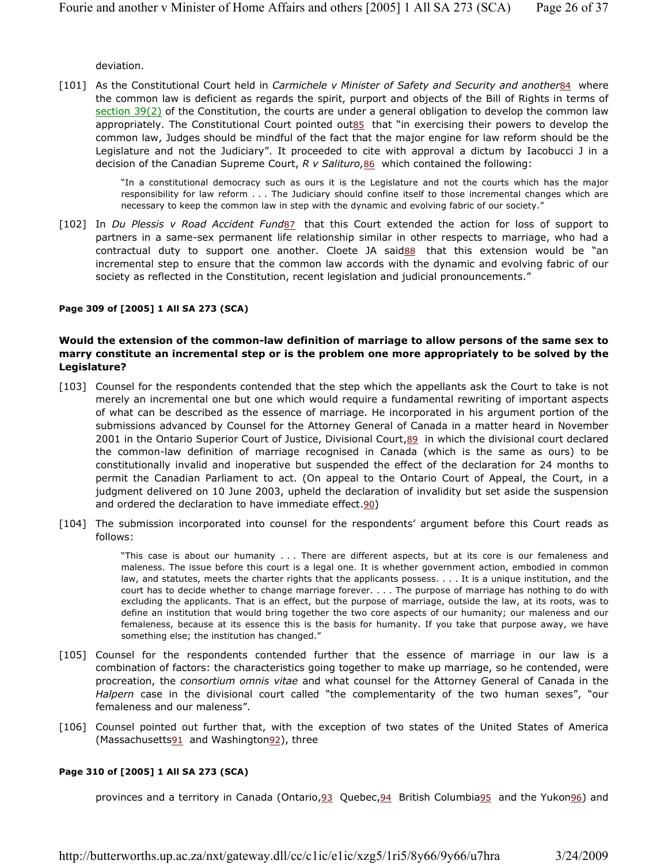deviation.

[101] As the Constitutional Court held in *Carmichele v Minister of Safety and Security and another*84 where the common law is deficient as regards the spirit, purport and objects of the Bill of Rights in terms of section  $39(2)$  of the Constitution, the courts are under a general obligation to develop the common law appropriately. The Constitutional Court pointed out85 that "in exercising their powers to develop the common law, Judges should be mindful of the fact that the major engine for law reform should be the Legislature and not the Judiciary". It proceeded to cite with approval a dictum by Iacobucci J in a decision of the Canadian Supreme Court, *R v Salituro,*86 which contained the following:

> "In a constitutional democracy such as ours it is the Legislature and not the courts which has the major responsibility for law reform . . . The Judiciary should confine itself to those incremental changes which are necessary to keep the common law in step with the dynamic and evolving fabric of our society."

[102] In *Du Plessis v Road Accident Fund*87 that this Court extended the action for loss of support to partners in a same-sex permanent life relationship similar in other respects to marriage, who had a contractual duty to support one another. Cloete JA said $88$  that this extension would be "an incremental step to ensure that the common law accords with the dynamic and evolving fabric of our society as reflected in the Constitution, recent legislation and judicial pronouncements."

#### **Page 309 of [2005] 1 All SA 273 (SCA)**

## **Would the extension of the common-law definition of marriage to allow persons of the same sex to marry constitute an incremental step or is the problem one more appropriately to be solved by the Legislature?**

- [103] Counsel for the respondents contended that the step which the appellants ask the Court to take is not merely an incremental one but one which would require a fundamental rewriting of important aspects of what can be described as the essence of marriage. He incorporated in his argument portion of the submissions advanced by Counsel for the Attorney General of Canada in a matter heard in November 2001 in the Ontario Superior Court of Justice, Divisional Court,89 in which the divisional court declared the common-law definition of marriage recognised in Canada (which is the same as ours) to be constitutionally invalid and inoperative but suspended the effect of the declaration for 24 months to permit the Canadian Parliament to act. (On appeal to the Ontario Court of Appeal, the Court, in a judgment delivered on 10 June 2003, upheld the declaration of invalidity but set aside the suspension and ordered the declaration to have immediate effect.90)
- [104] The submission incorporated into counsel for the respondents' argument before this Court reads as follows:

"This case is about our humanity . . . There are different aspects, but at its core is our femaleness and maleness. The issue before this court is a legal one. It is whether government action, embodied in common law, and statutes, meets the charter rights that the applicants possess. . . . It is a unique institution, and the court has to decide whether to change marriage forever. . . . The purpose of marriage has nothing to do with excluding the applicants. That is an effect, but the purpose of marriage, outside the law, at its roots, was to define an institution that would bring together the two core aspects of our humanity; our maleness and our femaleness, because at its essence this is the basis for humanity. If you take that purpose away, we have something else; the institution has changed."

- [105] Counsel for the respondents contended further that the essence of marriage in our law is a combination of factors: the characteristics going together to make up marriage, so he contended, were procreation, the *consortium omnis vitae* and what counsel for the Attorney General of Canada in the *Halpern* case in the divisional court called "the complementarity of the two human sexes", "our femaleness and our maleness".
- [106] Counsel pointed out further that, with the exception of two states of the United States of America (Massachusetts91 and Washington92), three

#### **Page 310 of [2005] 1 All SA 273 (SCA)**

provinces and a territory in Canada (Ontario, 93 Quebec, 94 British Columbia 95 and the Yukon 96) and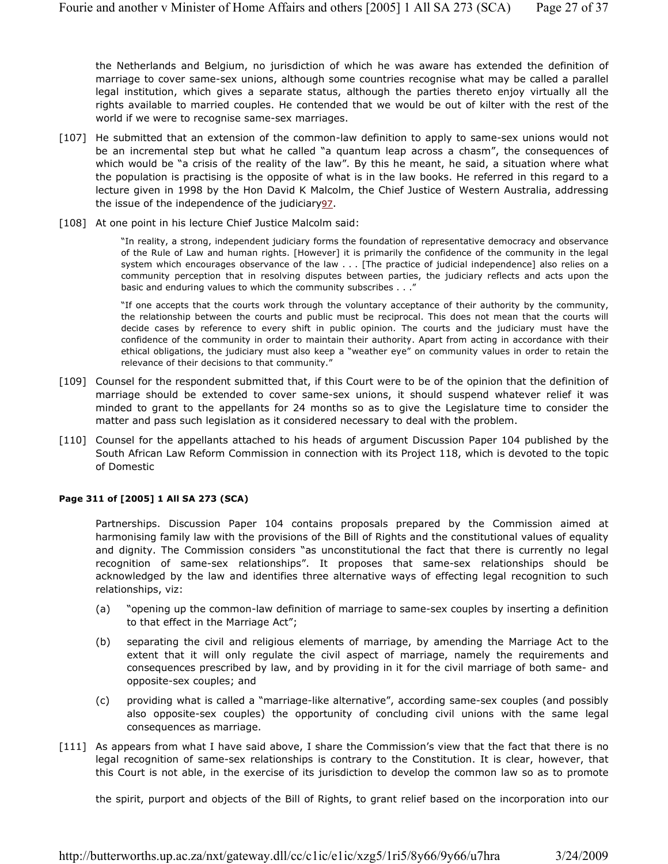the Netherlands and Belgium, no jurisdiction of which he was aware has extended the definition of marriage to cover same-sex unions, although some countries recognise what may be called a parallel legal institution, which gives a separate status, although the parties thereto enjoy virtually all the rights available to married couples. He contended that we would be out of kilter with the rest of the world if we were to recognise same-sex marriages.

- [107] He submitted that an extension of the common-law definition to apply to same-sex unions would not be an incremental step but what he called "a quantum leap across a chasm", the consequences of which would be "a crisis of the reality of the law". By this he meant, he said, a situation where what the population is practising is the opposite of what is in the law books. He referred in this regard to a lecture given in 1998 by the Hon David K Malcolm, the Chief Justice of Western Australia, addressing the issue of the independence of the judiciary97.
- [108] At one point in his lecture Chief Justice Malcolm said:

"In reality, a strong, independent judiciary forms the foundation of representative democracy and observance of the Rule of Law and human rights. [However] it is primarily the confidence of the community in the legal system which encourages observance of the law . . . [The practice of judicial independence] also relies on a community perception that in resolving disputes between parties, the judiciary reflects and acts upon the basic and enduring values to which the community subscribes . . ."

"If one accepts that the courts work through the voluntary acceptance of their authority by the community, the relationship between the courts and public must be reciprocal. This does not mean that the courts will decide cases by reference to every shift in public opinion. The courts and the judiciary must have the confidence of the community in order to maintain their authority. Apart from acting in accordance with their ethical obligations, the judiciary must also keep a "weather eye" on community values in order to retain the relevance of their decisions to that community."

- [109] Counsel for the respondent submitted that, if this Court were to be of the opinion that the definition of marriage should be extended to cover same-sex unions, it should suspend whatever relief it was minded to grant to the appellants for 24 months so as to give the Legislature time to consider the matter and pass such legislation as it considered necessary to deal with the problem.
- [110] Counsel for the appellants attached to his heads of argument Discussion Paper 104 published by the South African Law Reform Commission in connection with its Project 118, which is devoted to the topic of Domestic

### **Page 311 of [2005] 1 All SA 273 (SCA)**

Partnerships. Discussion Paper 104 contains proposals prepared by the Commission aimed at harmonising family law with the provisions of the Bill of Rights and the constitutional values of equality and dignity. The Commission considers "as unconstitutional the fact that there is currently no legal recognition of same-sex relationships". It proposes that same-sex relationships should be acknowledged by the law and identifies three alternative ways of effecting legal recognition to such relationships, viz:

- (a) "opening up the common-law definition of marriage to same-sex couples by inserting a definition to that effect in the Marriage Act";
- (b) separating the civil and religious elements of marriage, by amending the Marriage Act to the extent that it will only regulate the civil aspect of marriage, namely the requirements and consequences prescribed by law, and by providing in it for the civil marriage of both same- and opposite-sex couples; and
- (c) providing what is called a "marriage-like alternative", according same-sex couples (and possibly also opposite-sex couples) the opportunity of concluding civil unions with the same legal consequences as marriage.
- [111] As appears from what I have said above, I share the Commission's view that the fact that there is no legal recognition of same-sex relationships is contrary to the Constitution. It is clear, however, that this Court is not able, in the exercise of its jurisdiction to develop the common law so as to promote

the spirit, purport and objects of the Bill of Rights, to grant relief based on the incorporation into our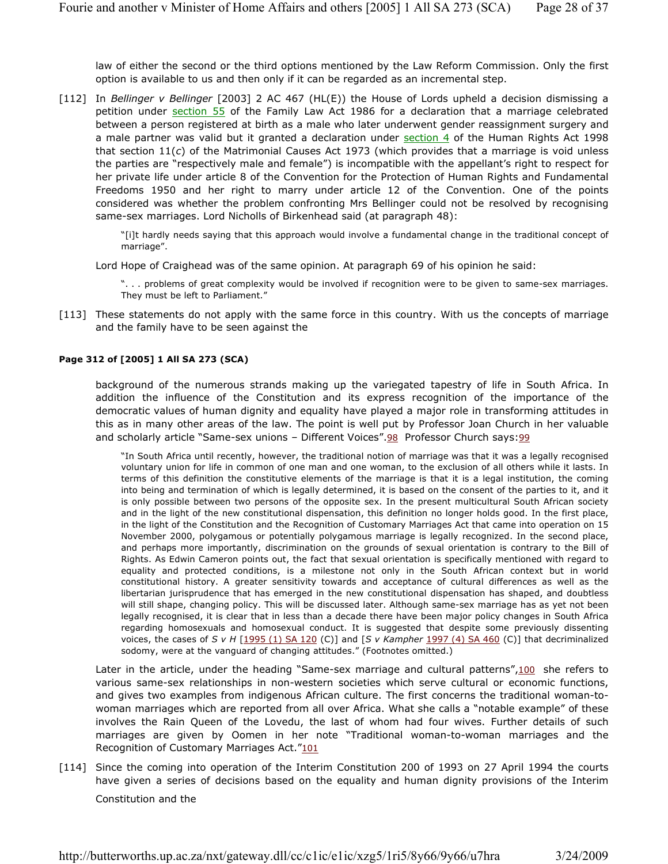law of either the second or the third options mentioned by the Law Reform Commission. Only the first option is available to us and then only if it can be regarded as an incremental step.

[112] In *Bellinger v Bellinger* [2003] 2 AC 467 (HL(E)) the House of Lords upheld a decision dismissing a petition under section 55 of the Family Law Act 1986 for a declaration that a marriage celebrated between a person registered at birth as a male who later underwent gender reassignment surgery and a male partner was valid but it granted a declaration under section 4 of the Human Rights Act 1998 that section 11(*c*) of the Matrimonial Causes Act 1973 (which provides that a marriage is void unless the parties are "respectively male and female") is incompatible with the appellant's right to respect for her private life under article 8 of the Convention for the Protection of Human Rights and Fundamental Freedoms 1950 and her right to marry under article 12 of the Convention. One of the points considered was whether the problem confronting Mrs Bellinger could not be resolved by recognising same-sex marriages. Lord Nicholls of Birkenhead said (at paragraph 48):

> "[i]t hardly needs saying that this approach would involve a fundamental change in the traditional concept of marriage".

Lord Hope of Craighead was of the same opinion. At paragraph 69 of his opinion he said:

". . . problems of great complexity would be involved if recognition were to be given to same-sex marriages. They must be left to Parliament."

[113] These statements do not apply with the same force in this country. With us the concepts of marriage and the family have to be seen against the

## **Page 312 of [2005] 1 All SA 273 (SCA)**

background of the numerous strands making up the variegated tapestry of life in South Africa. In addition the influence of the Constitution and its express recognition of the importance of the democratic values of human dignity and equality have played a major role in transforming attitudes in this as in many other areas of the law. The point is well put by Professor Joan Church in her valuable and scholarly article "Same-sex unions - Different Voices".98 Professor Church says:99

"In South Africa until recently, however, the traditional notion of marriage was that it was a legally recognised voluntary union for life in common of one man and one woman, to the exclusion of all others while it lasts. In terms of this definition the constitutive elements of the marriage is that it is a legal institution, the coming into being and termination of which is legally determined, it is based on the consent of the parties to it, and it is only possible between two persons of the opposite sex. In the present multicultural South African society and in the light of the new constitutional dispensation, this definition no longer holds good. In the first place, in the light of the Constitution and the Recognition of Customary Marriages Act that came into operation on 15 November 2000, polygamous or potentially polygamous marriage is legally recognized. In the second place, and perhaps more importantly, discrimination on the grounds of sexual orientation is contrary to the Bill of Rights. As Edwin Cameron points out, the fact that sexual orientation is specifically mentioned with regard to equality and protected conditions, is a milestone not only in the South African context but in world constitutional history. A greater sensitivity towards and acceptance of cultural differences as well as the libertarian jurisprudence that has emerged in the new constitutional dispensation has shaped, and doubtless will still shape, changing policy. This will be discussed later. Although same-sex marriage has as yet not been legally recognised, it is clear that in less than a decade there have been major policy changes in South Africa regarding homosexuals and homosexual conduct. It is suggested that despite some previously dissenting voices, the cases of *S v H* [1995 (1) SA 120 (C)] and [*S v Kampher* 1997 (4) SA 460 (C)] that decriminalized sodomy, were at the vanguard of changing attitudes." (Footnotes omitted.)

Later in the article, under the heading "Same-sex marriage and cultural patterns", 100 she refers to various same-sex relationships in non-western societies which serve cultural or economic functions, and gives two examples from indigenous African culture. The first concerns the traditional woman-towoman marriages which are reported from all over Africa. What she calls a "notable example" of these involves the Rain Queen of the Lovedu, the last of whom had four wives. Further details of such marriages are given by Oomen in her note "Traditional woman-to-woman marriages and the Recognition of Customary Marriages Act."101

[114] Since the coming into operation of the Interim Constitution 200 of 1993 on 27 April 1994 the courts Constitution and the have given a series of decisions based on the equality and human dignity provisions of the Interim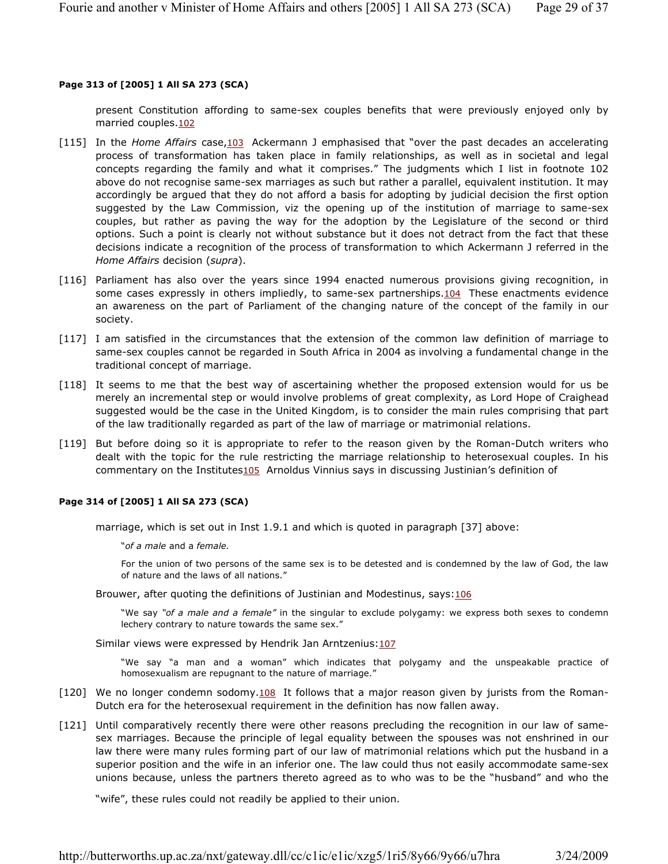### **Page 313 of [2005] 1 All SA 273 (SCA)**

present Constitution affording to same-sex couples benefits that were previously enjoyed only by married couples.102

- [115] In the *Home Affairs* case,103 Ackermann J emphasised that "over the past decades an accelerating process of transformation has taken place in family relationships, as well as in societal and legal concepts regarding the family and what it comprises." The judgments which I list in footnote 102 above do not recognise same-sex marriages as such but rather a parallel, equivalent institution. It may accordingly be argued that they do not afford a basis for adopting by judicial decision the first option suggested by the Law Commission, viz the opening up of the institution of marriage to same-sex couples, but rather as paving the way for the adoption by the Legislature of the second or third options. Such a point is clearly not without substance but it does not detract from the fact that these decisions indicate a recognition of the process of transformation to which Ackermann J referred in the *Home Affairs* decision (*supra*).
- [116] Parliament has also over the years since 1994 enacted numerous provisions giving recognition, in some cases expressly in others impliedly, to same-sex partnerships.104 These enactments evidence an awareness on the part of Parliament of the changing nature of the concept of the family in our society.
- [117] I am satisfied in the circumstances that the extension of the common law definition of marriage to same-sex couples cannot be regarded in South Africa in 2004 as involving a fundamental change in the traditional concept of marriage.
- [118] It seems to me that the best way of ascertaining whether the proposed extension would for us be merely an incremental step or would involve problems of great complexity, as Lord Hope of Craighead suggested would be the case in the United Kingdom, is to consider the main rules comprising that part of the law traditionally regarded as part of the law of marriage or matrimonial relations.
- [119] But before doing so it is appropriate to refer to the reason given by the Roman-Dutch writers who dealt with the topic for the rule restricting the marriage relationship to heterosexual couples. In his commentary on the Institutes105 Arnoldus Vinnius says in discussing Justinian's definition of

#### **Page 314 of [2005] 1 All SA 273 (SCA)**

marriage, which is set out in Inst 1.9.1 and which is quoted in paragraph [37] above:

"*of a male* and a *female.*

For the union of two persons of the same sex is to be detested and is condemned by the law of God, the law of nature and the laws of all nations."

Brouwer, after quoting the definitions of Justinian and Modestinus, says: 106

"We say *"of a male and a female"* in the singular to exclude polygamy: we express both sexes to condemn lechery contrary to nature towards the same sex."

Similar views were expressed by Hendrik Jan Arntzenius: 107

"We say "a man and a woman" which indicates that polygamy and the unspeakable practice of homosexualism are repugnant to the nature of marriage."

- [120] We no longer condemn sodomy.108 It follows that a major reason given by jurists from the Roman-Dutch era for the heterosexual requirement in the definition has now fallen away.
- [121] Until comparatively recently there were other reasons precluding the recognition in our law of samesex marriages. Because the principle of legal equality between the spouses was not enshrined in our law there were many rules forming part of our law of matrimonial relations which put the husband in a superior position and the wife in an inferior one. The law could thus not easily accommodate same-sex unions because, unless the partners thereto agreed as to who was to be the "husband" and who the

"wife", these rules could not readily be applied to their union.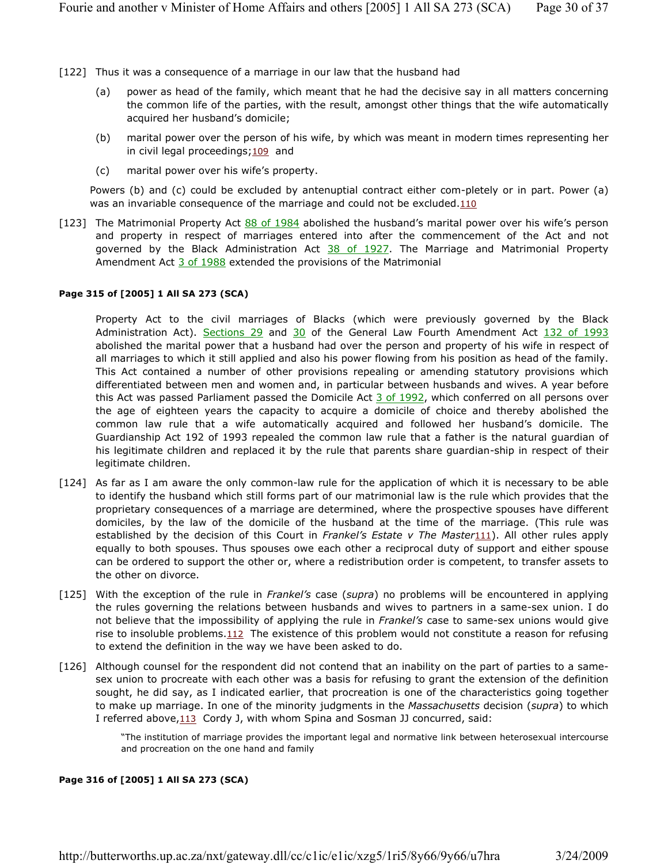- [122] Thus it was a consequence of a marriage in our law that the husband had
	- (a) power as head of the family, which meant that he had the decisive say in all matters concerning the common life of the parties, with the result, amongst other things that the wife automatically acquired her husband's domicile;
	- (b) marital power over the person of his wife, by which was meant in modern times representing her in civil legal proceedings;109 and
	- (c) marital power over his wife's property.

Powers (b) and (c) could be excluded by antenuptial contract either com-pletely or in part. Power (a) was an invariable consequence of the marriage and could not be excluded.110

[123] The Matrimonial Property Act 88 of 1984 abolished the husband's marital power over his wife's person and property in respect of marriages entered into after the commencement of the Act and not governed by the Black Administration Act 38 of 1927. The Marriage and Matrimonial Property Amendment Act 3 of 1988 extended the provisions of the Matrimonial

### **Page 315 of [2005] 1 All SA 273 (SCA)**

Property Act to the civil marriages of Blacks (which were previously governed by the Black Administration Act). Sections 29 and 30 of the General Law Fourth Amendment Act 132 of 1993 abolished the marital power that a husband had over the person and property of his wife in respect of all marriages to which it still applied and also his power flowing from his position as head of the family. This Act contained a number of other provisions repealing or amending statutory provisions which differentiated between men and women and, in particular between husbands and wives. A year before this Act was passed Parliament passed the Domicile Act 3 of 1992, which conferred on all persons over the age of eighteen years the capacity to acquire a domicile of choice and thereby abolished the common law rule that a wife automatically acquired and followed her husband's domicile. The Guardianship Act 192 of 1993 repealed the common law rule that a father is the natural guardian of his legitimate children and replaced it by the rule that parents share guardian-ship in respect of their legitimate children.

- [124] As far as I am aware the only common-law rule for the application of which it is necessary to be able to identify the husband which still forms part of our matrimonial law is the rule which provides that the proprietary consequences of a marriage are determined, where the prospective spouses have different domiciles, by the law of the domicile of the husband at the time of the marriage. (This rule was established by the decision of this Court in *Frankel's Estate v The Master*111). All other rules apply equally to both spouses. Thus spouses owe each other a reciprocal duty of support and either spouse can be ordered to support the other or, where a redistribution order is competent, to transfer assets to the other on divorce.
- [125] With the exception of the rule in *Frankel's* case (*supra*) no problems will be encountered in applying the rules governing the relations between husbands and wives to partners in a same-sex union. I do not believe that the impossibility of applying the rule in *Frankel's* case to same-sex unions would give rise to insoluble problems.112 The existence of this problem would not constitute a reason for refusing to extend the definition in the way we have been asked to do.
- [126] Although counsel for the respondent did not contend that an inability on the part of parties to a samesex union to procreate with each other was a basis for refusing to grant the extension of the definition sought, he did say, as I indicated earlier, that procreation is one of the characteristics going together to make up marriage. In one of the minority judgments in the *Massachusetts* decision (*supra*) to which I referred above, 113 Cordy J, with whom Spina and Sosman JJ concurred, said:

"The institution of marriage provides the important legal and normative link between heterosexual intercourse and procreation on the one hand and family

### **Page 316 of [2005] 1 All SA 273 (SCA)**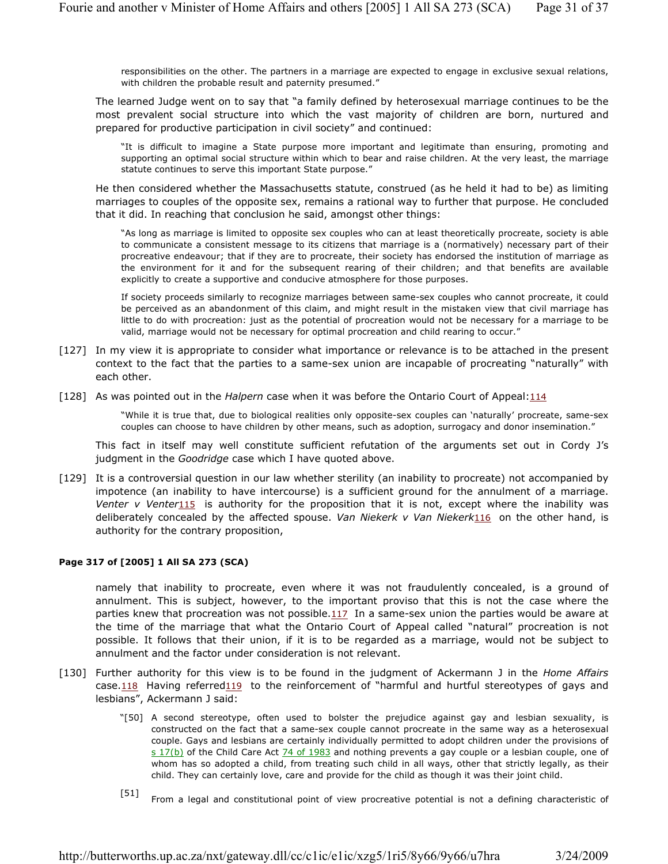responsibilities on the other. The partners in a marriage are expected to engage in exclusive sexual relations, with children the probable result and paternity presumed."

The learned Judge went on to say that "a family defined by heterosexual marriage continues to be the most prevalent social structure into which the vast majority of children are born, nurtured and prepared for productive participation in civil society" and continued:

"It is difficult to imagine a State purpose more important and legitimate than ensuring, promoting and supporting an optimal social structure within which to bear and raise children. At the very least, the marriage statute continues to serve this important State purpose."

He then considered whether the Massachusetts statute, construed (as he held it had to be) as limiting marriages to couples of the opposite sex, remains a rational way to further that purpose. He concluded that it did. In reaching that conclusion he said, amongst other things:

"As long as marriage is limited to opposite sex couples who can at least theoretically procreate, society is able to communicate a consistent message to its citizens that marriage is a (normatively) necessary part of their procreative endeavour; that if they are to procreate, their society has endorsed the institution of marriage as the environment for it and for the subsequent rearing of their children; and that benefits are available explicitly to create a supportive and conducive atmosphere for those purposes.

If society proceeds similarly to recognize marriages between same-sex couples who cannot procreate, it could be perceived as an abandonment of this claim, and might result in the mistaken view that civil marriage has little to do with procreation: just as the potential of procreation would not be necessary for a marriage to be valid, marriage would not be necessary for optimal procreation and child rearing to occur."

- [127] In my view it is appropriate to consider what importance or relevance is to be attached in the present context to the fact that the parties to a same-sex union are incapable of procreating "naturally" with each other.
- [128] As was pointed out in the *Halpern* case when it was before the Ontario Court of Appeal:114

"While it is true that, due to biological realities only opposite-sex couples can 'naturally' procreate, same-sex couples can choose to have children by other means, such as adoption, surrogacy and donor insemination."

This fact in itself may well constitute sufficient refutation of the arguments set out in Cordy J's judgment in the *Goodridge* case which I have quoted above.

[129] It is a controversial question in our law whether sterility (an inability to procreate) not accompanied by impotence (an inability to have intercourse) is a sufficient ground for the annulment of a marriage. *Venter v Venter*115 is authority for the proposition that it is not, except where the inability was deliberately concealed by the affected spouse. *Van Niekerk v Van Niekerk*116 on the other hand, is authority for the contrary proposition,

### **Page 317 of [2005] 1 All SA 273 (SCA)**

namely that inability to procreate, even where it was not fraudulently concealed, is a ground of annulment. This is subject, however, to the important proviso that this is not the case where the parties knew that procreation was not possible.117 In a same-sex union the parties would be aware at the time of the marriage that what the Ontario Court of Appeal called "natural" procreation is not possible. It follows that their union, if it is to be regarded as a marriage, would not be subject to annulment and the factor under consideration is not relevant.

- [130] Further authority for this view is to be found in the judgment of Ackermann J in the *Home Affairs*  case.118 Having referred119 to the reinforcement of "harmful and hurtful stereotypes of gays and lesbians", Ackermann J said:
	- "[50] A second stereotype, often used to bolster the prejudice against gay and lesbian sexuality, is constructed on the fact that a same-sex couple cannot procreate in the same way as a heterosexual couple. Gays and lesbians are certainly individually permitted to adopt children under the provisions of  $s$  17(b) of the Child Care Act 74 of 1983 and nothing prevents a gay couple or a lesbian couple, one of whom has so adopted a child, from treating such child in all ways, other that strictly legally, as their child. They can certainly love, care and provide for the child as though it was their joint child.
	- [51] From a legal and constitutional point of view procreative potential is not a defining characteristic of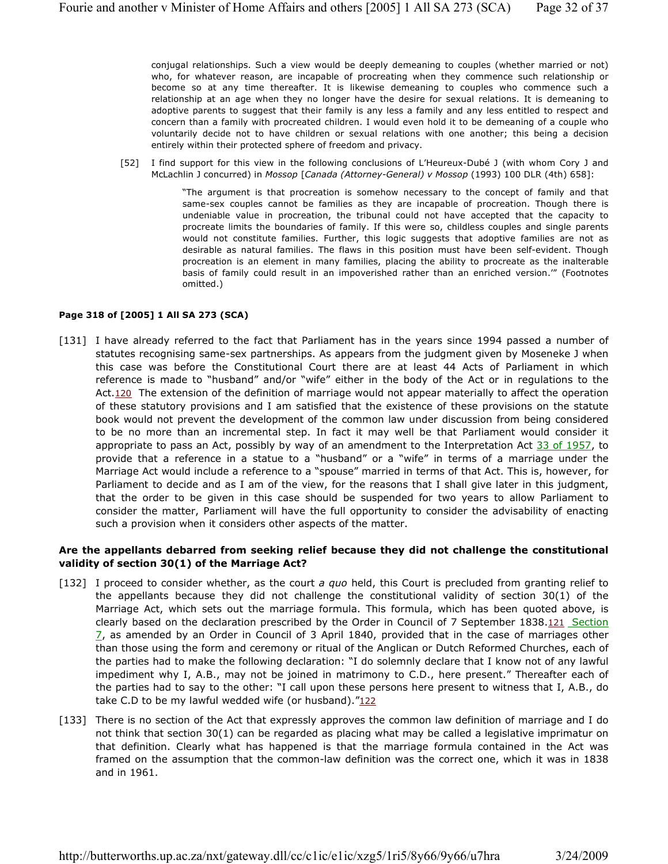conjugal relationships. Such a view would be deeply demeaning to couples (whether married or not) who, for whatever reason, are incapable of procreating when they commence such relationship or become so at any time thereafter. It is likewise demeaning to couples who commence such a relationship at an age when they no longer have the desire for sexual relations. It is demeaning to adoptive parents to suggest that their family is any less a family and any less entitled to respect and concern than a family with procreated children. I would even hold it to be demeaning of a couple who voluntarily decide not to have children or sexual relations with one another; this being a decision entirely within their protected sphere of freedom and privacy.

[52] I find support for this view in the following conclusions of L'Heureux-Dubé J (with whom Cory J and McLachlin J concurred) in *Mossop* [*Canada (Attorney-General) v Mossop* (1993) 100 DLR (4th) 658]:

> "The argument is that procreation is somehow necessary to the concept of family and that same-sex couples cannot be families as they are incapable of procreation. Though there is undeniable value in procreation, the tribunal could not have accepted that the capacity to procreate limits the boundaries of family. If this were so, childless couples and single parents would not constitute families. Further, this logic suggests that adoptive families are not as desirable as natural families. The flaws in this position must have been self-evident. Though procreation is an element in many families, placing the ability to procreate as the inalterable basis of family could result in an impoverished rather than an enriched version.'" (Footnotes omitted.)

### **Page 318 of [2005] 1 All SA 273 (SCA)**

[131] I have already referred to the fact that Parliament has in the years since 1994 passed a number of statutes recognising same-sex partnerships. As appears from the judgment given by Moseneke J when this case was before the Constitutional Court there are at least 44 Acts of Parliament in which reference is made to "husband" and/or "wife" either in the body of the Act or in regulations to the Act.120 The extension of the definition of marriage would not appear materially to affect the operation of these statutory provisions and I am satisfied that the existence of these provisions on the statute book would not prevent the development of the common law under discussion from being considered to be no more than an incremental step. In fact it may well be that Parliament would consider it appropriate to pass an Act, possibly by way of an amendment to the Interpretation Act 33 of 1957, to provide that a reference in a statue to a "husband" or a "wife" in terms of a marriage under the Marriage Act would include a reference to a "spouse" married in terms of that Act. This is, however, for Parliament to decide and as I am of the view, for the reasons that I shall give later in this judgment, that the order to be given in this case should be suspended for two years to allow Parliament to consider the matter, Parliament will have the full opportunity to consider the advisability of enacting such a provision when it considers other aspects of the matter.

# **Are the appellants debarred from seeking relief because they did not challenge the constitutional validity of section 30(1) of the Marriage Act?**

- [132] I proceed to consider whether, as the court *a quo* held, this Court is precluded from granting relief to the appellants because they did not challenge the constitutional validity of section 30(1) of the Marriage Act, which sets out the marriage formula. This formula, which has been quoted above, is clearly based on the declaration prescribed by the Order in Council of 7 September 1838.121 Section  $Z$ , as amended by an Order in Council of 3 April 1840, provided that in the case of marriages other than those using the form and ceremony or ritual of the Anglican or Dutch Reformed Churches, each of the parties had to make the following declaration: "I do solemnly declare that I know not of any lawful impediment why I, A.B., may not be joined in matrimony to C.D., here present." Thereafter each of the parties had to say to the other: "I call upon these persons here present to witness that I, A.B., do take C.D to be my lawful wedded wife (or husband). $7122$
- [133] There is no section of the Act that expressly approves the common law definition of marriage and I do not think that section 30(1) can be regarded as placing what may be called a legislative imprimatur on that definition. Clearly what has happened is that the marriage formula contained in the Act was framed on the assumption that the common-law definition was the correct one, which it was in 1838 and in 1961.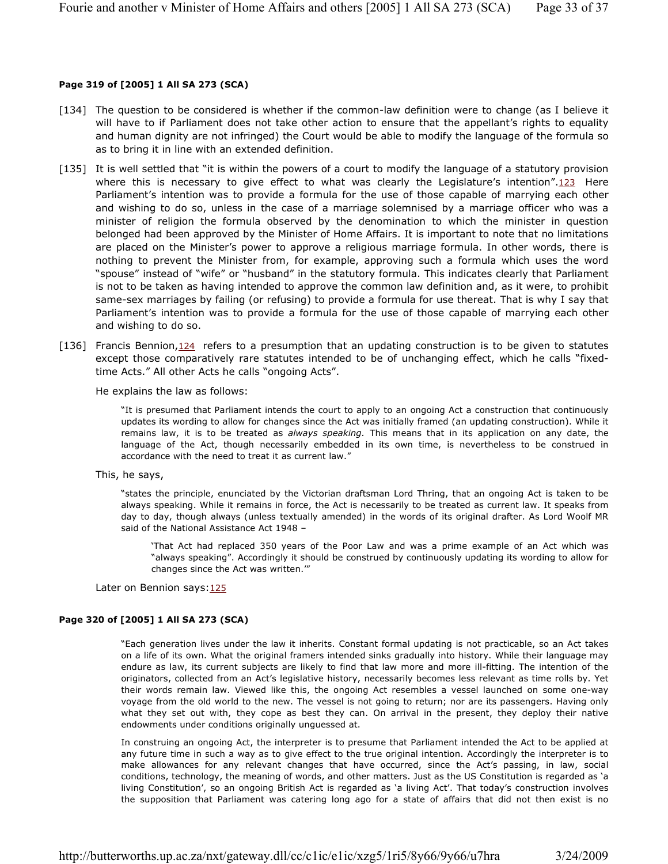### **Page 319 of [2005] 1 All SA 273 (SCA)**

- [134] The question to be considered is whether if the common-law definition were to change (as I believe it will have to if Parliament does not take other action to ensure that the appellant's rights to equality and human dignity are not infringed) the Court would be able to modify the language of the formula so as to bring it in line with an extended definition.
- [135] It is well settled that "it is within the powers of a court to modify the language of a statutory provision where this is necessary to give effect to what was clearly the Legislature's intention".123 Here Parliament's intention was to provide a formula for the use of those capable of marrying each other and wishing to do so, unless in the case of a marriage solemnised by a marriage officer who was a minister of religion the formula observed by the denomination to which the minister in question belonged had been approved by the Minister of Home Affairs. It is important to note that no limitations are placed on the Minister's power to approve a religious marriage formula. In other words, there is nothing to prevent the Minister from, for example, approving such a formula which uses the word "spouse" instead of "wife" or "husband" in the statutory formula. This indicates clearly that Parliament is not to be taken as having intended to approve the common law definition and, as it were, to prohibit same-sex marriages by failing (or refusing) to provide a formula for use thereat. That is why I say that Parliament's intention was to provide a formula for the use of those capable of marrying each other and wishing to do so.
- [136] Francis Bennion, 124 refers to a presumption that an updating construction is to be given to statutes except those comparatively rare statutes intended to be of unchanging effect, which he calls "fixedtime Acts." All other Acts he calls "ongoing Acts".

He explains the law as follows:

"It is presumed that Parliament intends the court to apply to an ongoing Act a construction that continuously updates its wording to allow for changes since the Act was initially framed (an updating construction). While it remains law, it is to be treated as *always speaking.* This means that in its application on any date, the language of the Act, though necessarily embedded in its own time, is nevertheless to be construed in accordance with the need to treat it as current law."

#### This, he says,

"states the principle, enunciated by the Victorian draftsman Lord Thring, that an ongoing Act is taken to be always speaking. While it remains in force, the Act is necessarily to be treated as current law. It speaks from day to day, though always (unless textually amended) in the words of its original drafter. As Lord Woolf MR said of the National Assistance Act 1948 –

'That Act had replaced 350 years of the Poor Law and was a prime example of an Act which was "always speaking". Accordingly it should be construed by continuously updating its wording to allow for changes since the Act was written.'"

Later on Bennion says: 125

### **Page 320 of [2005] 1 All SA 273 (SCA)**

"Each generation lives under the law it inherits. Constant formal updating is not practicable, so an Act takes on a life of its own. What the original framers intended sinks gradually into history. While their language may endure as law, its current subjects are likely to find that law more and more ill-fitting. The intention of the originators, collected from an Act's legislative history, necessarily becomes less relevant as time rolls by. Yet their words remain law. Viewed like this, the ongoing Act resembles a vessel launched on some one-way voyage from the old world to the new. The vessel is not going to return; nor are its passengers. Having only what they set out with, they cope as best they can. On arrival in the present, they deploy their native endowments under conditions originally unguessed at.

In construing an ongoing Act, the interpreter is to presume that Parliament intended the Act to be applied at any future time in such a way as to give effect to the true original intention. Accordingly the interpreter is to make allowances for any relevant changes that have occurred, since the Act's passing, in law, social conditions, technology, the meaning of words, and other matters. Just as the US Constitution is regarded as 'a living Constitution', so an ongoing British Act is regarded as 'a living Act'. That today's construction involves the supposition that Parliament was catering long ago for a state of affairs that did not then exist is no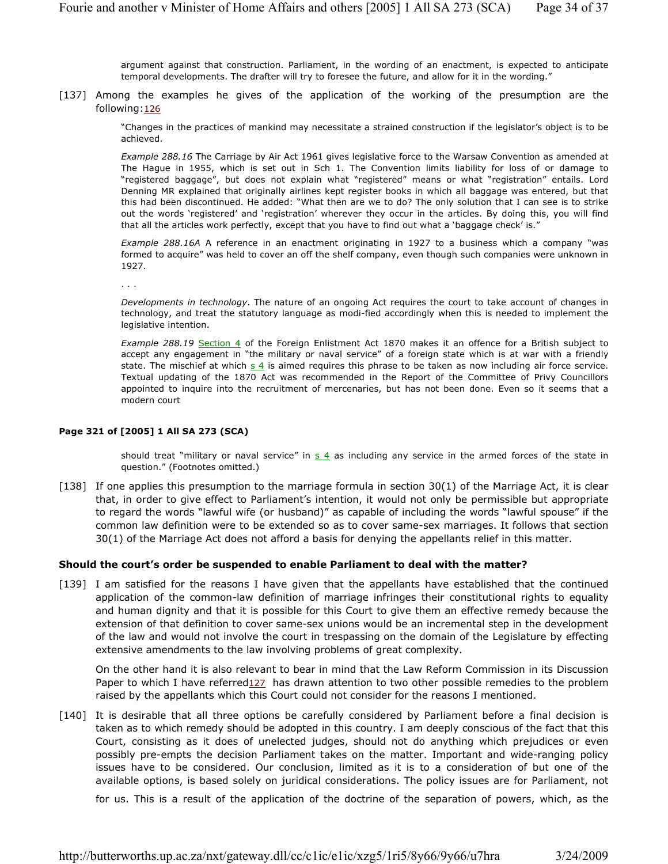argument against that construction. Parliament, in the wording of an enactment, is expected to anticipate temporal developments. The drafter will try to foresee the future, and allow for it in the wording."

[137] Among the examples he gives of the application of the working of the presumption are the following: 126

> "Changes in the practices of mankind may necessitate a strained construction if the legislator's object is to be achieved.

> *Example 288.16* The Carriage by Air Act 1961 gives legislative force to the Warsaw Convention as amended at The Hague in 1955, which is set out in Sch 1. The Convention limits liability for loss of or damage to "registered baggage", but does not explain what "registered" means or what "registration" entails. Lord Denning MR explained that originally airlines kept register books in which all baggage was entered, but that this had been discontinued. He added: "What then are we to do? The only solution that I can see is to strike out the words 'registered' and 'registration' wherever they occur in the articles. By doing this, you will find that all the articles work perfectly, except that you have to find out what a 'baggage check' is."

> *Example 288.16A* A reference in an enactment originating in 1927 to a business which a company "was formed to acquire" was held to cover an off the shelf company, even though such companies were unknown in 1927.

. . .

*Developments in technology*. The nature of an ongoing Act requires the court to take account of changes in technology, and treat the statutory language as modi-fied accordingly when this is needed to implement the legislative intention.

*Example 288.19* **Section 4** of the Foreign Enlistment Act 1870 makes it an offence for a British subject to accept any engagement in "the military or naval service" of a foreign state which is at war with a friendly state. The mischief at which  $s$  4 is aimed requires this phrase to be taken as now including air force service. Textual updating of the 1870 Act was recommended in the Report of the Committee of Privy Councillors appointed to inquire into the recruitment of mercenaries, but has not been done. Even so it seems that a modern court

#### **Page 321 of [2005] 1 All SA 273 (SCA)**

should treat "military or naval service" in  $s$  4 as including any service in the armed forces of the state in question." (Footnotes omitted.)

[138] If one applies this presumption to the marriage formula in section 30(1) of the Marriage Act, it is clear that, in order to give effect to Parliament's intention, it would not only be permissible but appropriate to regard the words "lawful wife (or husband)" as capable of including the words "lawful spouse" if the common law definition were to be extended so as to cover same-sex marriages. It follows that section 30(1) of the Marriage Act does not afford a basis for denying the appellants relief in this matter.

### **Should the court's order be suspended to enable Parliament to deal with the matter?**

[139] I am satisfied for the reasons I have given that the appellants have established that the continued application of the common-law definition of marriage infringes their constitutional rights to equality and human dignity and that it is possible for this Court to give them an effective remedy because the extension of that definition to cover same-sex unions would be an incremental step in the development of the law and would not involve the court in trespassing on the domain of the Legislature by effecting extensive amendments to the law involving problems of great complexity.

On the other hand it is also relevant to bear in mind that the Law Reform Commission in its Discussion Paper to which I have referred127 has drawn attention to two other possible remedies to the problem raised by the appellants which this Court could not consider for the reasons I mentioned.

[140] It is desirable that all three options be carefully considered by Parliament before a final decision is taken as to which remedy should be adopted in this country. I am deeply conscious of the fact that this Court, consisting as it does of unelected judges, should not do anything which prejudices or even possibly pre-empts the decision Parliament takes on the matter. Important and wide-ranging policy issues have to be considered. Our conclusion, limited as it is to a consideration of but one of the available options, is based solely on juridical considerations. The policy issues are for Parliament, not

for us. This is a result of the application of the doctrine of the separation of powers, which, as the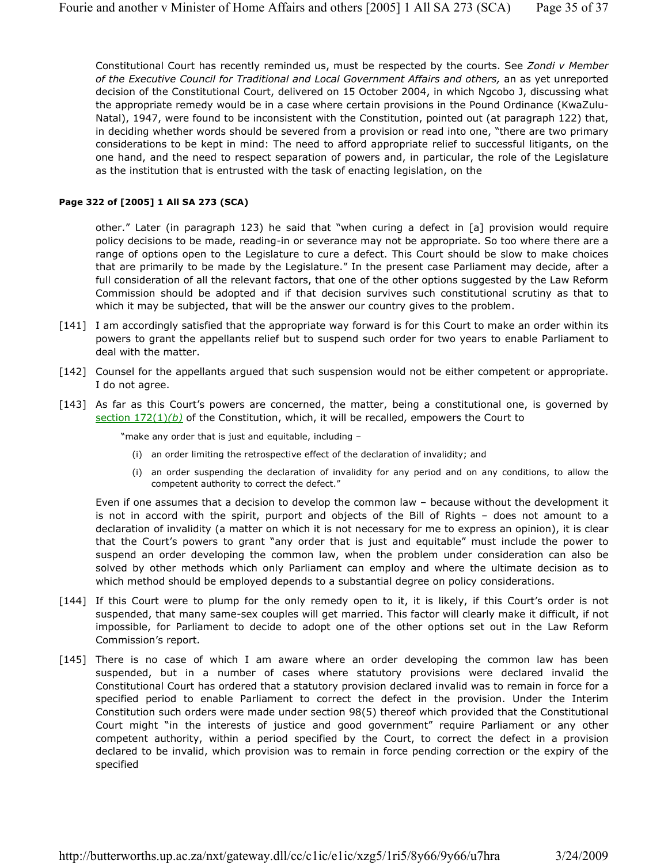Constitutional Court has recently reminded us, must be respected by the courts. See *Zondi v Member of the Executive Council for Traditional and Local Government Affairs and others,* an as yet unreported decision of the Constitutional Court, delivered on 15 October 2004, in which Ngcobo J, discussing what the appropriate remedy would be in a case where certain provisions in the Pound Ordinance (KwaZulu-Natal), 1947, were found to be inconsistent with the Constitution, pointed out (at paragraph 122) that, in deciding whether words should be severed from a provision or read into one, "there are two primary considerations to be kept in mind: The need to afford appropriate relief to successful litigants, on the one hand, and the need to respect separation of powers and, in particular, the role of the Legislature as the institution that is entrusted with the task of enacting legislation, on the

## **Page 322 of [2005] 1 All SA 273 (SCA)**

other." Later (in paragraph 123) he said that "when curing a defect in [a] provision would require policy decisions to be made, reading-in or severance may not be appropriate. So too where there are a range of options open to the Legislature to cure a defect. This Court should be slow to make choices that are primarily to be made by the Legislature." In the present case Parliament may decide, after a full consideration of all the relevant factors, that one of the other options suggested by the Law Reform Commission should be adopted and if that decision survives such constitutional scrutiny as that to which it may be subjected, that will be the answer our country gives to the problem.

- [141] I am accordingly satisfied that the appropriate way forward is for this Court to make an order within its powers to grant the appellants relief but to suspend such order for two years to enable Parliament to deal with the matter.
- [142] Counsel for the appellants argued that such suspension would not be either competent or appropriate. I do not agree.
- [143] As far as this Court's powers are concerned, the matter, being a constitutional one, is governed by section 172(1)*(b)* of the Constitution, which, it will be recalled, empowers the Court to

"make any order that is just and equitable, including –

- (i) an order limiting the retrospective effect of the declaration of invalidity; and
- (i) an order suspending the declaration of invalidity for any period and on any conditions, to allow the competent authority to correct the defect."

Even if one assumes that a decision to develop the common law – because without the development it is not in accord with the spirit, purport and objects of the Bill of Rights – does not amount to a declaration of invalidity (a matter on which it is not necessary for me to express an opinion), it is clear that the Court's powers to grant "any order that is just and equitable" must include the power to suspend an order developing the common law, when the problem under consideration can also be solved by other methods which only Parliament can employ and where the ultimate decision as to which method should be employed depends to a substantial degree on policy considerations.

- [144] If this Court were to plump for the only remedy open to it, it is likely, if this Court's order is not suspended, that many same-sex couples will get married. This factor will clearly make it difficult, if not impossible, for Parliament to decide to adopt one of the other options set out in the Law Reform Commission's report.
- [145] There is no case of which I am aware where an order developing the common law has been suspended, but in a number of cases where statutory provisions were declared invalid the Constitutional Court has ordered that a statutory provision declared invalid was to remain in force for a specified period to enable Parliament to correct the defect in the provision. Under the Interim Constitution such orders were made under section 98(5) thereof which provided that the Constitutional Court might "in the interests of justice and good government" require Parliament or any other competent authority, within a period specified by the Court, to correct the defect in a provision declared to be invalid, which provision was to remain in force pending correction or the expiry of the specified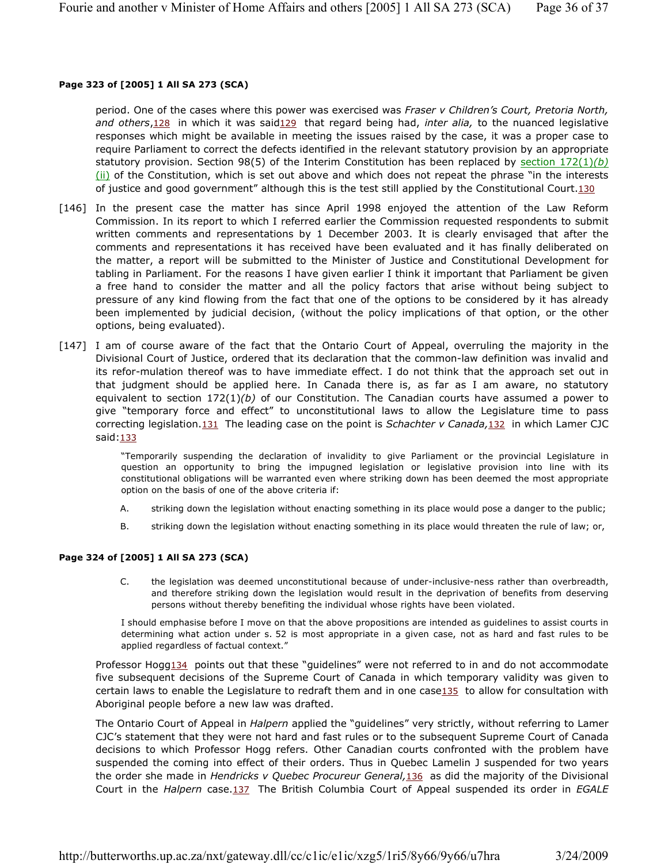## **Page 323 of [2005] 1 All SA 273 (SCA)**

period. One of the cases where this power was exercised was *Fraser v Children's Court, Pretoria North, and others*,128 in which it was said129 that regard being had, *inter alia,* to the nuanced legislative responses which might be available in meeting the issues raised by the case, it was a proper case to require Parliament to correct the defects identified in the relevant statutory provision by an appropriate statutory provision. Section 98(5) of the Interim Constitution has been replaced by section 172(1)*(b)*   $(iii)$  of the Constitution, which is set out above and which does not repeat the phrase "in the interests of justice and good government" although this is the test still applied by the Constitutional Court.130

- [146] In the present case the matter has since April 1998 enjoyed the attention of the Law Reform Commission. In its report to which I referred earlier the Commission requested respondents to submit written comments and representations by 1 December 2003. It is clearly envisaged that after the comments and representations it has received have been evaluated and it has finally deliberated on the matter, a report will be submitted to the Minister of Justice and Constitutional Development for tabling in Parliament. For the reasons I have given earlier I think it important that Parliament be given a free hand to consider the matter and all the policy factors that arise without being subject to pressure of any kind flowing from the fact that one of the options to be considered by it has already been implemented by judicial decision, (without the policy implications of that option, or the other options, being evaluated).
- [147] I am of course aware of the fact that the Ontario Court of Appeal, overruling the majority in the Divisional Court of Justice, ordered that its declaration that the common-law definition was invalid and its refor-mulation thereof was to have immediate effect. I do not think that the approach set out in that judgment should be applied here. In Canada there is, as far as I am aware, no statutory equivalent to section 172(1)*(b)* of our Constitution. The Canadian courts have assumed a power to give "temporary force and effect" to unconstitutional laws to allow the Legislature time to pass correcting legislation.131 The leading case on the point is *Schachter v Canada,*132 in which Lamer CJC said: 133

"Temporarily suspending the declaration of invalidity to give Parliament or the provincial Legislature in question an opportunity to bring the impugned legislation or legislative provision into line with its constitutional obligations will be warranted even where striking down has been deemed the most appropriate option on the basis of one of the above criteria if:

- A. striking down the legislation without enacting something in its place would pose a danger to the public;
- B. striking down the legislation without enacting something in its place would threaten the rule of law; or,

# **Page 324 of [2005] 1 All SA 273 (SCA)**

C. the legislation was deemed unconstitutional because of under-inclusive-ness rather than overbreadth, and therefore striking down the legislation would result in the deprivation of benefits from deserving persons without thereby benefiting the individual whose rights have been violated.

I should emphasise before I move on that the above propositions are intended as guidelines to assist courts in determining what action under s. 52 is most appropriate in a given case, not as hard and fast rules to be applied regardless of factual context."

Professor Hogg134 points out that these "guidelines" were not referred to in and do not accommodate five subsequent decisions of the Supreme Court of Canada in which temporary validity was given to certain laws to enable the Legislature to redraft them and in one case135 to allow for consultation with Aboriginal people before a new law was drafted.

The Ontario Court of Appeal in *Halpern* applied the "guidelines" very strictly, without referring to Lamer CJC's statement that they were not hard and fast rules or to the subsequent Supreme Court of Canada decisions to which Professor Hogg refers. Other Canadian courts confronted with the problem have suspended the coming into effect of their orders. Thus in Quebec Lamelin J suspended for two years the order she made in *Hendricks v Quebec Procureur General,*136 as did the majority of the Divisional Court in the *Halpern* case.137 The British Columbia Court of Appeal suspended its order in *EGALE*